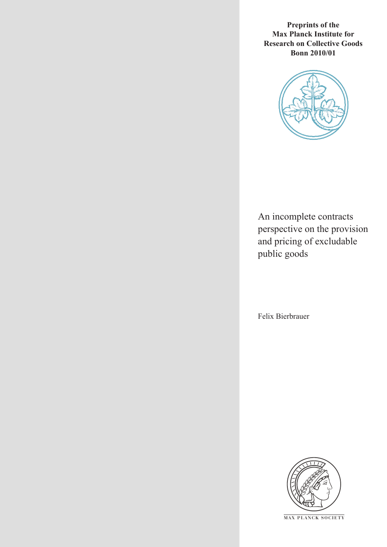**Preprints of the Max Planck Institute for Research on Collective Goods Bonn 2010/01**



An incomplete contracts perspective on the provision and pricing of excludable public goods

Felix Bierbrauer



**M AX P L A N C K S O C I E T Y**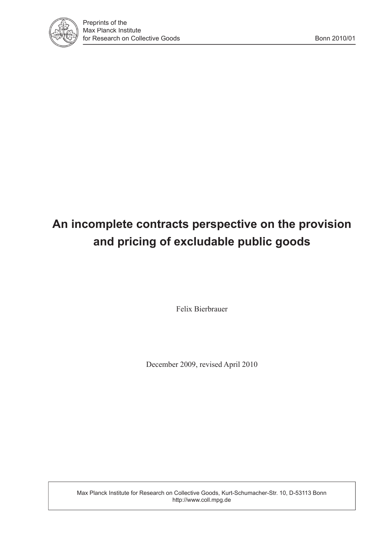

# **An incomplete contracts perspective on the provision and pricing of excludable public goods**

Felix Bierbrauer

December 2009, revised April 2010

Max Planck Institute for Research on Collective Goods, Kurt-Schumacher-Str. 10, D-53113 Bonn http://www.coll.mpg.de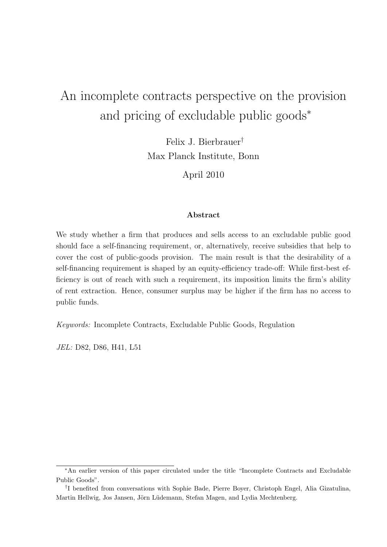# An incomplete contracts perspective on the provision and pricing of excludable public goods<sup>∗</sup>

Felix J. Bierbrauer† Max Planck Institute, Bonn

April 2010

#### Abstract

We study whether a firm that produces and sells access to an excludable public good should face a self-financing requirement, or, alternatively, receive subsidies that help to cover the cost of public-goods provision. The main result is that the desirability of a self-financing requirement is shaped by an equity-efficiency trade-off: While first-best efficiency is out of reach with such a requirement, its imposition limits the firm's ability of rent extraction. Hence, consumer surplus may be higher if the firm has no access to public funds.

Keywords: Incomplete Contracts, Excludable Public Goods, Regulation

JEL: D82, D86, H41, L51

<sup>∗</sup>An earlier version of this paper circulated under the title "Incomplete Contracts and Excludable Public Goods".

<sup>†</sup> I benefited from conversations with Sophie Bade, Pierre Boyer, Christoph Engel, Alia Gizatulina, Martin Hellwig, Jos Jansen, Jörn Lüdemann, Stefan Magen, and Lydia Mechtenberg.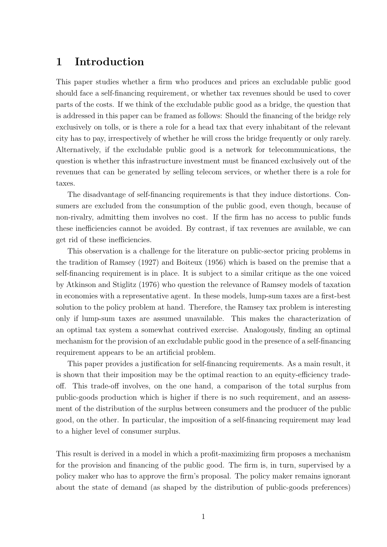# 1 Introduction

This paper studies whether a firm who produces and prices an excludable public good should face a self-financing requirement, or whether tax revenues should be used to cover parts of the costs. If we think of the excludable public good as a bridge, the question that is addressed in this paper can be framed as follows: Should the financing of the bridge rely exclusively on tolls, or is there a role for a head tax that every inhabitant of the relevant city has to pay, irrespectively of whether he will cross the bridge frequently or only rarely. Alternatively, if the excludable public good is a network for telecommunications, the question is whether this infrastructure investment must be financed exclusively out of the revenues that can be generated by selling telecom services, or whether there is a role for taxes.

The disadvantage of self-financing requirements is that they induce distortions. Consumers are excluded from the consumption of the public good, even though, because of non-rivalry, admitting them involves no cost. If the firm has no access to public funds these inefficiencies cannot be avoided. By contrast, if tax revenues are available, we can get rid of these inefficiencies.

This observation is a challenge for the literature on public-sector pricing problems in the tradition of Ramsey (1927) and Boiteux (1956) which is based on the premise that a self-financing requirement is in place. It is subject to a similar critique as the one voiced by Atkinson and Stiglitz (1976) who question the relevance of Ramsey models of taxation in economies with a representative agent. In these models, lump-sum taxes are a first-best solution to the policy problem at hand. Therefore, the Ramsey tax problem is interesting only if lump-sum taxes are assumed unavailable. This makes the characterization of an optimal tax system a somewhat contrived exercise. Analogously, finding an optimal mechanism for the provision of an excludable public good in the presence of a self-financing requirement appears to be an artificial problem.

This paper provides a justification for self-financing requirements. As a main result, it is shown that their imposition may be the optimal reaction to an equity-efficiency tradeoff. This trade-off involves, on the one hand, a comparison of the total surplus from public-goods production which is higher if there is no such requirement, and an assessment of the distribution of the surplus between consumers and the producer of the public good, on the other. In particular, the imposition of a self-financing requirement may lead to a higher level of consumer surplus.

This result is derived in a model in which a profit-maximizing firm proposes a mechanism for the provision and financing of the public good. The firm is, in turn, supervised by a policy maker who has to approve the firm's proposal. The policy maker remains ignorant about the state of demand (as shaped by the distribution of public-goods preferences)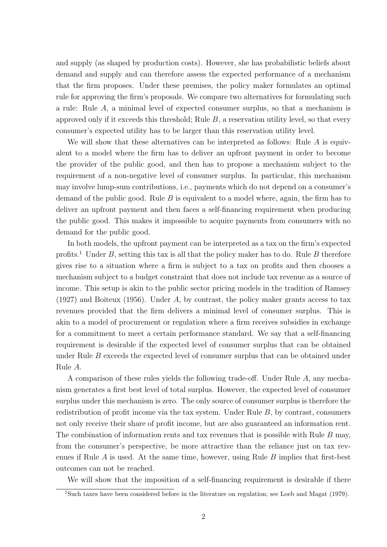and supply (as shaped by production costs). However, she has probabilistic beliefs about demand and supply and can therefore assess the expected performance of a mechanism that the firm proposes. Under these premises, the policy maker formulates an optimal rule for approving the firm's proposals. We compare two alternatives for formulating such a rule: Rule A, a minimal level of expected consumer surplus, so that a mechanism is approved only if it exceeds this threshold; Rule  $B$ , a reservation utility level, so that every consumer's expected utility has to be larger than this reservation utility level.

We will show that these alternatives can be interpreted as follows: Rule A is equivalent to a model where the firm has to deliver an upfront payment in order to become the provider of the public good, and then has to propose a mechanism subject to the requirement of a non-negative level of consumer surplus. In particular, this mechanism may involve lump-sum contributions, i.e., payments which do not depend on a consumer's demand of the public good. Rule  $B$  is equivalent to a model where, again, the firm has to deliver an upfront payment and then faces a self-financing requirement when producing the public good. This makes it impossible to acquire payments from consumers with no demand for the public good.

In both models, the upfront payment can be interpreted as a tax on the firm's expected profits.<sup>1</sup> Under  $B$ , setting this tax is all that the policy maker has to do. Rule  $B$  therefore gives rise to a situation where a firm is subject to a tax on profits and then chooses a mechanism subject to a budget constraint that does not include tax revenue as a source of income. This setup is akin to the public sector pricing models in the tradition of Ramsey (1927) and Boiteux (1956). Under A, by contrast, the policy maker grants access to tax revenues provided that the firm delivers a minimal level of consumer surplus. This is akin to a model of procurement or regulation where a firm receives subsidies in exchange for a commitment to meet a certain performance standard. We say that a self-financing requirement is desirable if the expected level of consumer surplus that can be obtained under Rule B exceeds the expected level of consumer surplus that can be obtained under Rule A.

A comparison of these rules yields the following trade-off. Under Rule A, any mechanism generates a first best level of total surplus. However, the expected level of consumer surplus under this mechanism is zero. The only source of consumer surplus is therefore the redistribution of profit income via the tax system. Under Rule B, by contrast, consumers not only receive their share of profit income, but are also guaranteed an information rent. The combination of information rents and tax revenues that is possible with Rule  $B$  may, from the consumer's perspective, be more attractive than the reliance just on tax revenues if Rule  $A$  is used. At the same time, however, using Rule  $B$  implies that first-best outcomes can not be reached.

We will show that the imposition of a self-financing requirement is desirable if there

<sup>&</sup>lt;sup>1</sup>Such taxes have been considered before in the literature on regulation; see Loeb and Magat (1979).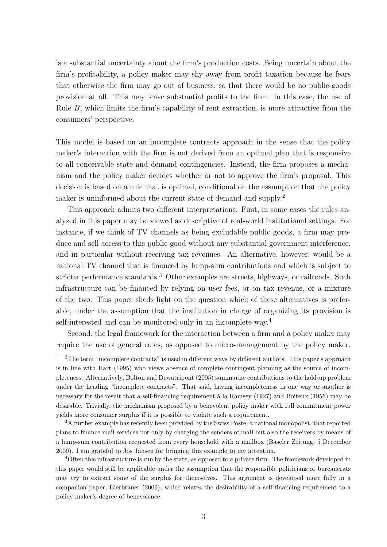is a substantial uncertainty about the firm's production costs. Being uncertain about the firm's profitability, a policy maker may shy away from profit taxation because he fears that otherwise the firm may go out of business, so that there would be no public-goods provision at all. This may leave substantial profits to the firm. In this case, the use of Rule  $B$ , which limits the firm's capability of rent extraction, is more attractive from the consumers' perspective.

This model is based on an incomplete contracts approach in the sense that the policy maker's interaction with the firm is not derived from an optimal plan that is responsive to all conceivable state and demand contingencies. Instead, the firm proposes a mechanism and the policy maker decides whether or not to approve the firm's proposal. This decision is based on a rule that is optimal, conditional on the assumption that the policy maker is uninformed about the current state of demand and supply.<sup>2</sup>

This approach admits two different interpretations: First, in some cases the rules analyzed in this paper may be viewed as descriptive of real-world institutional settings. For instance, if we think of TV channels as being excludable public goods, a firm may produce and sell access to this public good without any substantial government interference, and in particular without receiving tax revenues. An alternative, however, would be a national TV channel that is financed by lump-sum contributions and which is subject to stricter performance standards.<sup>3</sup> Other examples are streets, highways, or railroads. Such infrastructure can be financed by relying on user fees, or on tax revenue, or a mixture of the two. This paper sheds light on the question which of these alternatives is preferable, under the assumption that the institution in charge of organizing its provision is self-interested and can be monitored only in an incomplete way.<sup>4</sup>

Second, the legal framework for the interaction between a firm and a policy maker may require the use of general rules, as opposed to micro-management by the policy maker.

<sup>&</sup>lt;sup>2</sup>The term "incomplete contracts" is used in different ways by different authors. This paper's approach is in line with Hart (1995) who views absence of complete contingent planning as the source of incompleteness. Alternatively, Bolton and Dewatripont (2005) summarize contributions to the hold-up problem under the heading "incomplete contracts". That said, having incompleteness in one way or another is necessary for the result that a self-financing requirement à la Ramsey (1927) and Boiteux (1956) may be desirable. Trivially, the mechanism proposed by a benevolent policy maker with full commitment power yields more consumer surplus if it is possible to violate such a requirement.

<sup>3</sup>A further example has recently been provided by the Swiss Poste, a national monopolist, that reported plans to finance mail services not only by charging the senders of mail but also the receivers by means of a lump-sum contribution requested from every household with a mailbox (Baseler Zeitung, 5 December 2009). I am grateful to Jos Jansen for bringing this example to my attention.

<sup>&</sup>lt;sup>4</sup>Often this infrastructure is run by the state, as opposed to a private firm. The framework developed in this paper would still be applicable under the assumption that the responsible politicians or bureaucrats may try to extract some of the surplus for themselves. This argument is developed more fully in a companion paper, Bierbrauer (2009), which relates the desirability of a self financing requirement to a policy maker's degree of benevolence.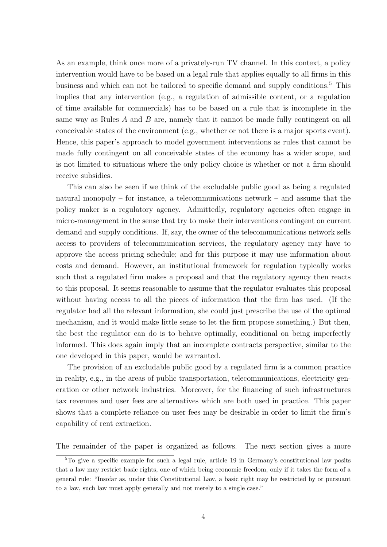As an example, think once more of a privately-run TV channel. In this context, a policy intervention would have to be based on a legal rule that applies equally to all firms in this business and which can not be tailored to specific demand and supply conditions.<sup>5</sup> This implies that any intervention (e.g., a regulation of admissible content, or a regulation of time available for commercials) has to be based on a rule that is incomplete in the same way as Rules  $A$  and  $B$  are, namely that it cannot be made fully contingent on all conceivable states of the environment (e.g., whether or not there is a major sports event). Hence, this paper's approach to model government interventions as rules that cannot be made fully contingent on all conceivable states of the economy has a wider scope, and is not limited to situations where the only policy choice is whether or not a firm should receive subsidies.

This can also be seen if we think of the excludable public good as being a regulated natural monopoly – for instance, a telecommunications network – and assume that the policy maker is a regulatory agency. Admittedly, regulatory agencies often engage in micro-management in the sense that try to make their interventions contingent on current demand and supply conditions. If, say, the owner of the telecommunications network sells access to providers of telecommunication services, the regulatory agency may have to approve the access pricing schedule; and for this purpose it may use information about costs and demand. However, an institutional framework for regulation typically works such that a regulated firm makes a proposal and that the regulatory agency then reacts to this proposal. It seems reasonable to assume that the regulator evaluates this proposal without having access to all the pieces of information that the firm has used. (If the regulator had all the relevant information, she could just prescribe the use of the optimal mechanism, and it would make little sense to let the firm propose something.) But then, the best the regulator can do is to behave optimally, conditional on being imperfectly informed. This does again imply that an incomplete contracts perspective, similar to the one developed in this paper, would be warranted.

The provision of an excludable public good by a regulated firm is a common practice in reality, e.g., in the areas of public transportation, telecommunications, electricity generation or other network industries. Moreover, for the financing of such infrastructures tax revenues and user fees are alternatives which are both used in practice. This paper shows that a complete reliance on user fees may be desirable in order to limit the firm's capability of rent extraction.

The remainder of the paper is organized as follows. The next section gives a more

<sup>5</sup>To give a specific example for such a legal rule, article 19 in Germany's constitutional law posits that a law may restrict basic rights, one of which being economic freedom, only if it takes the form of a general rule: "Insofar as, under this Constitutional Law, a basic right may be restricted by or pursuant to a law, such law must apply generally and not merely to a single case."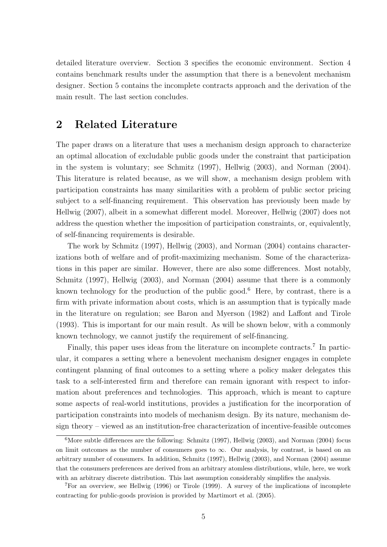detailed literature overview. Section 3 specifies the economic environment. Section 4 contains benchmark results under the assumption that there is a benevolent mechanism designer. Section 5 contains the incomplete contracts approach and the derivation of the main result. The last section concludes.

# 2 Related Literature

The paper draws on a literature that uses a mechanism design approach to characterize an optimal allocation of excludable public goods under the constraint that participation in the system is voluntary; see Schmitz (1997), Hellwig (2003), and Norman (2004). This literature is related because, as we will show, a mechanism design problem with participation constraints has many similarities with a problem of public sector pricing subject to a self-financing requirement. This observation has previously been made by Hellwig (2007), albeit in a somewhat different model. Moreover, Hellwig (2007) does not address the question whether the imposition of participation constraints, or, equivalently, of self-financing requirements is desirable.

The work by Schmitz (1997), Hellwig (2003), and Norman (2004) contains characterizations both of welfare and of profit-maximizing mechanism. Some of the characterizations in this paper are similar. However, there are also some differences. Most notably, Schmitz (1997), Hellwig (2003), and Norman (2004) assume that there is a commonly known technology for the production of the public good.<sup>6</sup> Here, by contrast, there is a firm with private information about costs, which is an assumption that is typically made in the literature on regulation; see Baron and Myerson (1982) and Laffont and Tirole (1993). This is important for our main result. As will be shown below, with a commonly known technology, we cannot justify the requirement of self-financing.

Finally, this paper uses ideas from the literature on incomplete contracts.<sup>7</sup> In particular, it compares a setting where a benevolent mechanism designer engages in complete contingent planning of final outcomes to a setting where a policy maker delegates this task to a self-interested firm and therefore can remain ignorant with respect to information about preferences and technologies. This approach, which is meant to capture some aspects of real-world institutions, provides a justification for the incorporation of participation constraints into models of mechanism design. By its nature, mechanism design theory – viewed as an institution-free characterization of incentive-feasible outcomes

 $6$ More subtle differences are the following: Schmitz (1997), Hellwig (2003), and Norman (2004) focus on limit outcomes as the number of consumers goes to  $\infty$ . Our analysis, by contrast, is based on an arbitrary number of consumers. In addition, Schmitz (1997), Hellwig (2003), and Norman (2004) assume that the consumers preferences are derived from an arbitrary atomless distributions, while, here, we work with an arbitrary discrete distribution. This last assumption considerably simplifies the analysis.

<sup>7</sup>For an overview, see Hellwig (1996) or Tirole (1999). A survey of the implications of incomplete contracting for public-goods provision is provided by Martimort et al. (2005).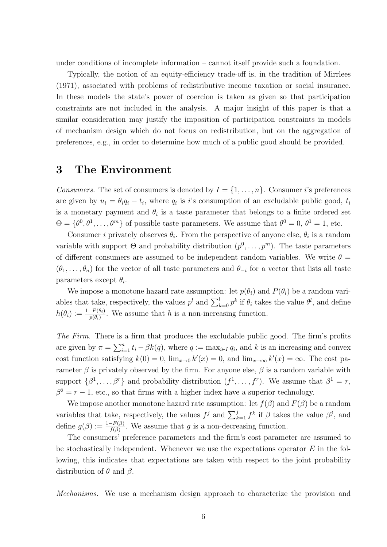under conditions of incomplete information – cannot itself provide such a foundation.

Typically, the notion of an equity-efficiency trade-off is, in the tradition of Mirrlees (1971), associated with problems of redistributive income taxation or social insurance. In these models the state's power of coercion is taken as given so that participation constraints are not included in the analysis. A major insight of this paper is that a similar consideration may justify the imposition of participation constraints in models of mechanism design which do not focus on redistribution, but on the aggregation of preferences, e.g., in order to determine how much of a public good should be provided.

# 3 The Environment

Consumers. The set of consumers is denoted by  $I = \{1, \ldots, n\}$ . Consumer i's preferences are given by  $u_i = \theta_i q_i - t_i$ , where  $q_i$  is i's consumption of an excludable public good,  $t_i$ is a monetary payment and  $\theta_i$  is a taste parameter that belongs to a finite ordered set  $\Theta = {\theta^0, \theta^1, \dots, \theta^m}$  of possible taste parameters. We assume that  $\theta^0 = 0, \theta^1 = 1$ , etc.

Consumer *i* privately observes  $\theta_i$ . From the perspective of anyone else,  $\theta_i$  is a random variable with support  $\Theta$  and probability distribution  $(p^0, \ldots, p^m)$ . The taste parameters of different consumers are assumed to be independent random variables. We write  $\theta =$  $(\theta_1,\ldots,\theta_n)$  for the vector of all taste parameters and  $\theta_{-i}$  for a vector that lists all taste parameters except  $\theta_i$ .

We impose a monotone hazard rate assumption: let  $p(\theta_i)$  and  $P(\theta_i)$  be a random variables that take, respectively, the values  $p^l$  and  $\sum_{k=0}^l p^k$  if  $\theta_i$  takes the value  $\theta^l$ , and define  $h(\theta_i) := \frac{1 - P(\theta_i)}{p(\theta_i)}$ . We assume that h is a non-increasing function.

The Firm. There is a firm that produces the excludable public good. The firm's profits are given by  $\pi = \sum_{i=1}^n t_i - \beta k(q)$ , where  $q := \max_{i \in I} q_i$ , and k is an increasing and convex cost function satisfying  $k(0) = 0$ ,  $\lim_{x\to 0} k'(x) = 0$ , and  $\lim_{x\to \infty} k'(x) = \infty$ . The cost parameter  $\beta$  is privately observed by the firm. For anyone else,  $\beta$  is a random variable with support  $\{\beta^1,\ldots,\beta^r\}$  and probability distribution  $(f^1,\ldots,f^r)$ . We assume that  $\beta^1=r$ ,  $\beta^2 = r - 1$ , etc., so that firms with a higher index have a superior technology.

We impose another monotone hazard rate assumption: let  $f(\beta)$  and  $F(\beta)$  be a random variables that take, respectively, the values  $f^j$  and  $\sum_{k=1}^j f^k$  if  $\beta$  takes the value  $\beta^j$ , and define  $g(\beta) := \frac{1-F(\beta)}{f(\beta)}$ . We assume that g is a non-decreasing function.

The consumers' preference parameters and the firm's cost parameter are assumed to be stochastically independent. Whenever we use the expectations operator  $E$  in the following, this indicates that expectations are taken with respect to the joint probability distribution of  $\theta$  and  $\beta$ .

Mechanisms. We use a mechanism design approach to characterize the provision and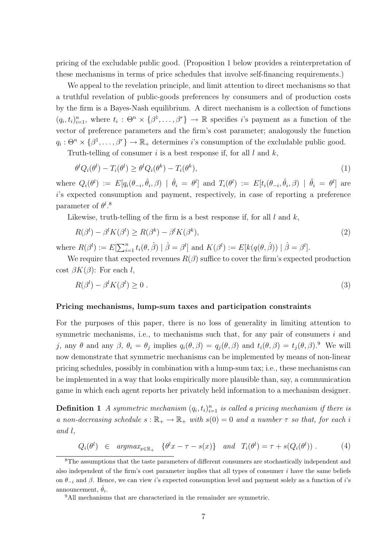pricing of the excludable public good. (Proposition 1 below provides a reinterpretation of these mechanisms in terms of price schedules that involve self-financing requirements.)

We appeal to the revelation principle, and limit attention to direct mechanisms so that a truthful revelation of public-goods preferences by consumers and of production costs by the firm is a Bayes-Nash equilibrium. A direct mechanism is a collection of functions  $(q_i, t_i)_{i=1}^n$ , where  $t_i : \Theta^n \times {\beta^1, \ldots, \beta^r} \to \mathbb{R}$  specifies i's payment as a function of the vector of preference parameters and the firm's cost parameter; analogously the function  $q_i: \Theta^n \times \{\beta^1, \ldots, \beta^r\} \to \mathbb{R}_+$  determines i's consumption of the excludable public good.

Truth-telling of consumer  $i$  is a best response if, for all  $l$  and  $k$ ,

$$
\theta^l Q_i(\theta^l) - T_i(\theta^l) \ge \theta^l Q_i(\theta^k) - T_i(\theta^k),\tag{1}
$$

where  $Q_i(\theta^l) := E[q_i(\theta_{-i}, \hat{\theta}_i, \beta) | \hat{\theta}_i = \theta^l]$  and  $T_i(\theta^l) := E[t_i(\theta_{-i}, \hat{\theta}_i, \beta) | \hat{\theta}_i = \theta^l]$  are i's expected consumption and payment, respectively, in case of reporting a preference parameter of  $\theta^{l}$ .<sup>8</sup>

Likewise, truth-telling of the firm is a best response if, for all  $l$  and  $k$ ,

$$
R(\beta^l) - \beta^l K(\beta^l) \ge R(\beta^k) - \beta^l K(\beta^k),\tag{2}
$$

where  $R(\beta^l) := E[\sum_{i=1}^n t_i(\theta, \hat{\beta}) | \hat{\beta} = \beta^l]$  and  $K(\beta^l) := E[k(q(\theta, \hat{\beta})) | \hat{\beta} = \beta^l]$ .

We require that expected revenues  $R(\beta)$  suffice to cover the firm's expected production cost  $\beta K(\beta)$ : For each l,

$$
R(\beta^l) - \beta^l K(\beta^l) \ge 0 \tag{3}
$$

#### Pricing mechanisms, lump-sum taxes and participation constraints

For the purposes of this paper, there is no loss of generality in limiting attention to symmetric mechanisms, i.e., to mechanisms such that, for any pair of consumers  $i$  and j, any  $\theta$  and any  $\beta$ ,  $\theta_i = \theta_j$  implies  $q_i(\theta, \beta) = q_j(\theta, \beta)$  and  $t_i(\theta, \beta) = t_j(\theta, \beta)$ . We will now demonstrate that symmetric mechanisms can be implemented by means of non-linear pricing schedules, possibly in combination with a lump-sum tax; i.e., these mechanisms can be implemented in a way that looks empirically more plausible than, say, a communication game in which each agent reports her privately held information to a mechanism designer.

**Definition 1** A symmetric mechanism  $(q_i, t_i)_{i=1}^n$  is called a pricing mechanism if there is a non-decreasing schedule  $s : \mathbb{R}_+ \to \mathbb{R}_+$  with  $s(0) = 0$  and a number  $\tau$  so that, for each i and l,

$$
Q_i(\theta^l) \in \text{argmax}_{x \in \mathbb{R}_+} \quad \{\theta^l x - \tau - s(x)\} \quad \text{and} \quad T_i(\theta^l) = \tau + s(Q_i(\theta^l)) \ . \tag{4}
$$

<sup>&</sup>lt;sup>8</sup>The assumptions that the taste parameters of different consumers are stochastically independent and also independent of the firm's cost parameter implies that all types of consumer  $i$  have the same beliefs on  $\theta_{-i}$  and  $\beta$ . Hence, we can view i's expected consumption level and payment solely as a function of i's announcement,  $\hat{\theta}_i$ .

<sup>&</sup>lt;sup>9</sup>All mechanisms that are characterized in the remainder are symmetric.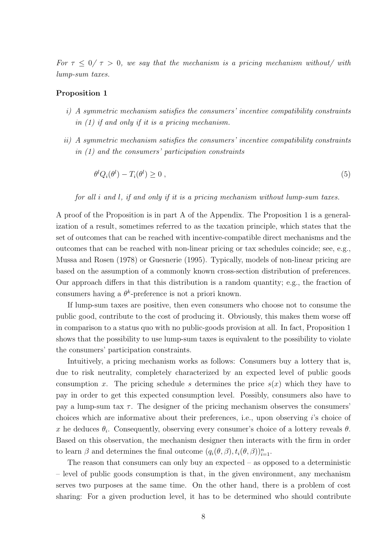For  $\tau \leq 0/\tau > 0$ , we say that the mechanism is a pricing mechanism without/ with lump-sum taxes.

#### Proposition 1

- i) A symmetric mechanism satisfies the consumers' incentive compatibility constraints in  $(1)$  if and only if it is a pricing mechanism.
- ii) A symmetric mechanism satisfies the consumers' incentive compatibility constraints in (1) and the consumers' participation constraints

$$
\theta^l Q_i(\theta^l) - T_i(\theta^l) \ge 0 \tag{5}
$$

for all i and l, if and only if it is a pricing mechanism without lump-sum taxes.

A proof of the Proposition is in part A of the Appendix. The Proposition 1 is a generalization of a result, sometimes referred to as the taxation principle, which states that the set of outcomes that can be reached with incentive-compatible direct mechanisms and the outcomes that can be reached with non-linear pricing or tax schedules coincide; see, e.g., Mussa and Rosen (1978) or Guesnerie (1995). Typically, models of non-linear pricing are based on the assumption of a commonly known cross-section distribution of preferences. Our approach differs in that this distribution is a random quantity; e.g., the fraction of consumers having a  $\theta^k$ -preference is not a priori known.

If lump-sum taxes are positive, then even consumers who choose not to consume the public good, contribute to the cost of producing it. Obviously, this makes them worse off in comparison to a status quo with no public-goods provision at all. In fact, Proposition 1 shows that the possibility to use lump-sum taxes is equivalent to the possibility to violate the consumers' participation constraints.

Intuitively, a pricing mechanism works as follows: Consumers buy a lottery that is, due to risk neutrality, completely characterized by an expected level of public goods consumption x. The pricing schedule s determines the price  $s(x)$  which they have to pay in order to get this expected consumption level. Possibly, consumers also have to pay a lump-sum tax  $\tau$ . The designer of the pricing mechanism observes the consumers' choices which are informative about their preferences, i.e., upon observing i's choice of x he deduces  $\theta_i$ . Consequently, observing every consumer's choice of a lottery reveals  $\theta$ . Based on this observation, the mechanism designer then interacts with the firm in order to learn  $\beta$  and determines the final outcome  $(q_i(\theta, \beta), t_i(\theta, \beta))_{i=1}^n$ .

The reason that consumers can only buy an expected – as opposed to a deterministic – level of public goods consumption is that, in the given environment, any mechanism serves two purposes at the same time. On the other hand, there is a problem of cost sharing: For a given production level, it has to be determined who should contribute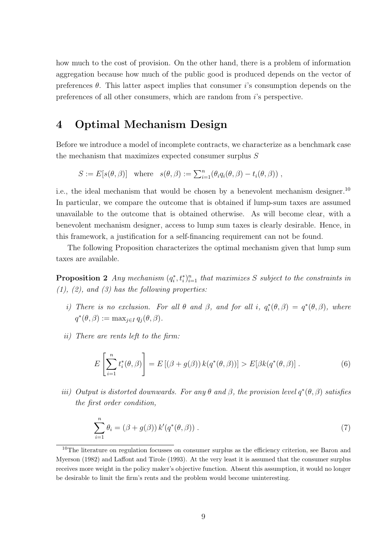how much to the cost of provision. On the other hand, there is a problem of information aggregation because how much of the public good is produced depends on the vector of preferences  $\theta$ . This latter aspect implies that consumer i's consumption depends on the preferences of all other consumers, which are random from i's perspective.

# 4 Optimal Mechanism Design

Before we introduce a model of incomplete contracts, we characterize as a benchmark case the mechanism that maximizes expected consumer surplus S

$$
S := E[s(\theta, \beta)] \text{ where } s(\theta, \beta) := \sum_{i=1}^n (\theta_i q_i(\theta, \beta) - t_i(\theta, \beta)),
$$

i.e., the ideal mechanism that would be chosen by a benevolent mechanism designer.<sup>10</sup> In particular, we compare the outcome that is obtained if lump-sum taxes are assumed unavailable to the outcome that is obtained otherwise. As will become clear, with a benevolent mechanism designer, access to lump sum taxes is clearly desirable. Hence, in this framework, a justification for a self-financing requirement can not be found.

The following Proposition characterizes the optimal mechanism given that lump sum taxes are available.

**Proposition 2** Any mechanism  $(q_i^*, t_i^*)_{i=1}^n$  that maximizes S subject to the constraints in  $(1), (2), and (3)$  has the following properties:

- i) There is no exclusion. For all  $\theta$  and  $\beta$ , and for all i,  $q_i^*(\theta, \beta) = q^*(\theta, \beta)$ , where  $q^*(\theta, \beta) := \max_{j \in I} q_j(\theta, \beta).$
- ii) There are rents left to the firm:

$$
E\left[\sum_{i=1}^{n} t_i^*(\theta, \beta)\right] = E\left[\left(\beta + g(\beta)\right)k(q^*(\theta, \beta))\right] > E[\beta k(q^*(\theta, \beta)] . \tag{6}
$$

iii) Output is distorted downwards. For any  $\theta$  and  $\beta$ , the provision level  $q^*(\theta, \beta)$  satisfies the first order condition,

$$
\sum_{i=1}^{n} \theta_i = (\beta + g(\beta)) k'(q^*(\theta, \beta)).
$$
\n(7)

 $10$ The literature on regulation focusses on consumer surplus as the efficiency criterion, see Baron and Myerson (1982) and Laffont and Tirole (1993). At the very least it is assumed that the consumer surplus receives more weight in the policy maker's objective function. Absent this assumption, it would no longer be desirable to limit the firm's rents and the problem would become uninteresting.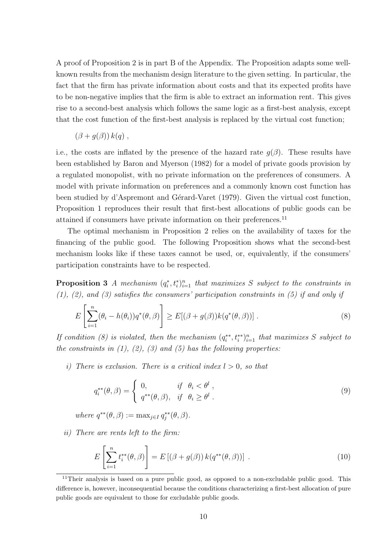A proof of Proposition 2 is in part B of the Appendix. The Proposition adapts some wellknown results from the mechanism design literature to the given setting. In particular, the fact that the firm has private information about costs and that its expected profits have to be non-negative implies that the firm is able to extract an information rent. This gives rise to a second-best analysis which follows the same logic as a first-best analysis, except that the cost function of the first-best analysis is replaced by the virtual cost function;

 $(\beta + g(\beta)) k(q)$ ,

i.e., the costs are inflated by the presence of the hazard rate  $q(\beta)$ . These results have been established by Baron and Myerson (1982) for a model of private goods provision by a regulated monopolist, with no private information on the preferences of consumers. A model with private information on preferences and a commonly known cost function has been studied by d'Aspremont and Gérard-Varet (1979). Given the virtual cost function, Proposition 1 reproduces their result that first-best allocations of public goods can be attained if consumers have private information on their preferences.<sup>11</sup>

The optimal mechanism in Proposition 2 relies on the availability of taxes for the financing of the public good. The following Proposition shows what the second-best mechanism looks like if these taxes cannot be used, or, equivalently, if the consumers' participation constraints have to be respected.

**Proposition 3** A mechanism  $(q_i^*, t_i^*)_{i=1}^n$  that maximizes S subject to the constraints in  $(1), (2),$  and  $(3)$  satisfies the consumers' participation constraints in  $(5)$  if and only if

$$
E\left[\sum_{i=1}^{n}(\theta_i - h(\theta_i))q^*(\theta,\beta)\right] \ge E[(\beta + g(\beta))k(q^*(\theta,\beta))].
$$
\n(8)

If condition (8) is violated, then the mechanism  $(q_i^{**}, t_i^{**})_{i=1}^n$  that maximizes S subject to the constraints in  $(1)$ ,  $(2)$ ,  $(3)$  and  $(5)$  has the following properties:

i) There is exclusion. There is a critical index  $l > 0$ , so that

$$
q_i^{**}(\theta, \beta) = \begin{cases} 0, & \text{if } \theta_i < \theta^l, \\ q^{**}(\theta, \beta), & \text{if } \theta_i \ge \theta^l. \end{cases}
$$
 (9)

where  $q^{**}(\theta, \beta) := \max_{j \in I} q_j^{**}(\theta, \beta)$ .

ii) There are rents left to the firm:

$$
E\left[\sum_{i=1}^{n} t_{i}^{**}(\theta,\beta)\right] = E\left[\left(\beta + g(\beta)\right)k(q^{**}(\theta,\beta))\right].
$$
\n(10)

<sup>&</sup>lt;sup>11</sup>Their analysis is based on a pure public good, as opposed to a non-excludable public good. This difference is, however, inconsequential because the conditions characterizing a first-best allocation of pure public goods are equivalent to those for excludable public goods.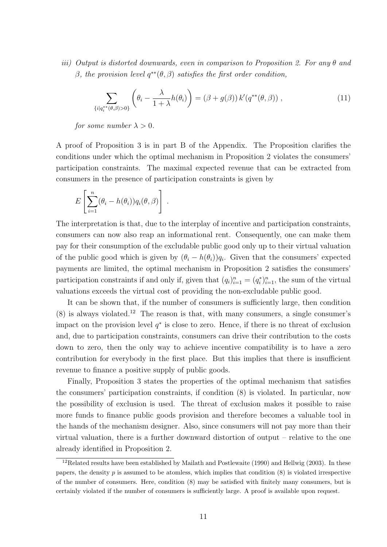iii) Output is distorted downwards, even in comparison to Proposition 2. For any  $\theta$  and β, the provision level  $q^{**}(\theta, \beta)$  satisfies the first order condition,

$$
\sum_{\{i|q_i^{**}(\theta,\beta)>0\}} \left(\theta_i - \frac{\lambda}{1+\lambda} h(\theta_i)\right) = (\beta + g(\beta)) k'(q^{**}(\theta,\beta)),\tag{11}
$$

for some number  $\lambda > 0$ .

A proof of Proposition 3 is in part B of the Appendix. The Proposition clarifies the conditions under which the optimal mechanism in Proposition 2 violates the consumers' participation constraints. The maximal expected revenue that can be extracted from consumers in the presence of participation constraints is given by

.

$$
E\left[\sum_{i=1}^{n}(\theta_i - h(\theta_i))q_i(\theta, \beta)\right]
$$

The interpretation is that, due to the interplay of incentive and participation constraints, consumers can now also reap an informational rent. Consequently, one can make them pay for their consumption of the excludable public good only up to their virtual valuation of the public good which is given by  $(\theta_i - h(\theta_i))q_i$ . Given that the consumers' expected payments are limited, the optimal mechanism in Proposition 2 satisfies the consumers' participation constraints if and only if, given that  $(q_i)_{i=1}^n = (q_i^*)_{i=1}^n$ , the sum of the virtual valuations exceeds the virtual cost of providing the non-excludable public good.

It can be shown that, if the number of consumers is sufficiently large, then condition  $(8)$  is always violated.<sup>12</sup> The reason is that, with many consumers, a single consumer's impact on the provision level  $q^*$  is close to zero. Hence, if there is no threat of exclusion and, due to participation constraints, consumers can drive their contribution to the costs down to zero, then the only way to achieve incentive compatibility is to have a zero contribution for everybody in the first place. But this implies that there is insufficient revenue to finance a positive supply of public goods.

Finally, Proposition 3 states the properties of the optimal mechanism that satisfies the consumers' participation constraints, if condition (8) is violated. In particular, now the possibility of exclusion is used. The threat of exclusion makes it possible to raise more funds to finance public goods provision and therefore becomes a valuable tool in the hands of the mechanism designer. Also, since consumers will not pay more than their virtual valuation, there is a further downward distortion of output – relative to the one already identified in Proposition 2.

 $12$ Related results have been established by Mailath and Postlewaite (1990) and Hellwig (2003). In these papers, the density  $p$  is assumed to be atomless, which implies that condition  $(8)$  is violated irrespective of the number of consumers. Here, condition (8) may be satisfied with finitely many consumers, but is certainly violated if the number of consumers is sufficiently large. A proof is available upon request.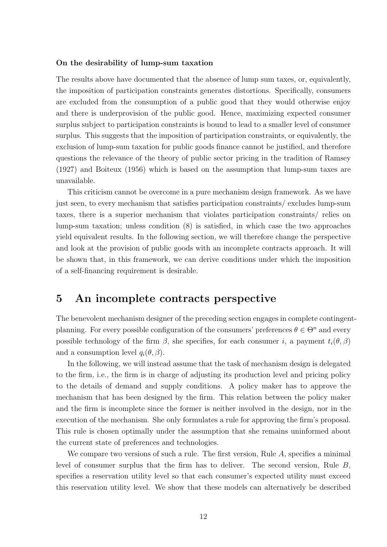#### On the desirability of lump-sum taxation

The results above have documented that the absence of lump sum taxes, or, equivalently, the imposition of participation constraints generates distortions. Specifically, consumers are excluded from the consumption of a public good that they would otherwise enjoy and there is underprovision of the public good. Hence, maximizing expected consumer surplus subject to participation constraints is bound to lead to a smaller level of consumer surplus. This suggests that the imposition of participation constraints, or equivalently, the exclusion of lump-sum taxation for public goods finance cannot be justified, and therefore questions the relevance of the theory of public sector pricing in the tradition of Ramsey (1927) and Boiteux (1956) which is based on the assumption that lump-sum taxes are unavailable.

This criticism cannot be overcome in a pure mechanism design framework. As we have just seen, to every mechanism that satisfies participation constraints/ excludes lump-sum taxes, there is a superior mechanism that violates participation constraints/ relies on lump-sum taxation; unless condition (8) is satisfied, in which case the two approaches yield equivalent results. In the following section, we will therefore change the perspective and look at the provision of public goods with an incomplete contracts approach. It will be shown that, in this framework, we can derive conditions under which the imposition of a self-financing requirement is desirable.

# 5 An incomplete contracts perspective

The benevolent mechanism designer of the preceding section engages in complete contingentplanning. For every possible configuration of the consumers' preferences  $\theta \in \Theta^n$  and every possible technology of the firm  $\beta$ , she specifies, for each consumer i, a payment  $t_i(\theta, \beta)$ and a consumption level  $q_i(\theta, \beta)$ .

In the following, we will instead assume that the task of mechanism design is delegated to the firm, i.e., the firm is in charge of adjusting its production level and pricing policy to the details of demand and supply conditions. A policy maker has to approve the mechanism that has been designed by the firm. This relation between the policy maker and the firm is incomplete since the former is neither involved in the design, nor in the execution of the mechanism. She only formulates a rule for approving the firm's proposal. This rule is chosen optimally under the assumption that she remains uninformed about the current state of preferences and technologies.

We compare two versions of such a rule. The first version, Rule A, specifies a minimal level of consumer surplus that the firm has to deliver. The second version, Rule  $B$ , specifies a reservation utility level so that each consumer's expected utility must exceed this reservation utility level. We show that these models can alternatively be described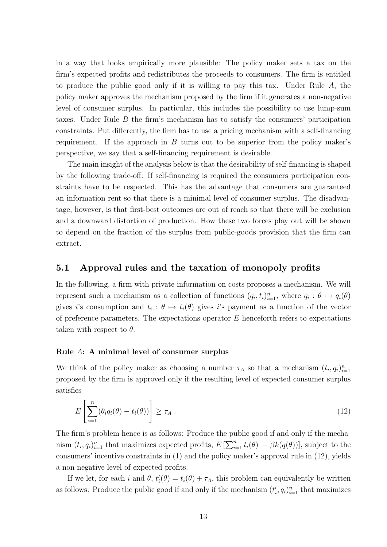in a way that looks empirically more plausible: The policy maker sets a tax on the firm's expected profits and redistributes the proceeds to consumers. The firm is entitled to produce the public good only if it is willing to pay this tax. Under Rule A, the policy maker approves the mechanism proposed by the firm if it generates a non-negative level of consumer surplus. In particular, this includes the possibility to use lump-sum taxes. Under Rule B the firm's mechanism has to satisfy the consumers' participation constraints. Put differently, the firm has to use a pricing mechanism with a self-financing requirement. If the approach in  $B$  turns out to be superior from the policy maker's perspective, we say that a self-financing requirement is desirable.

The main insight of the analysis below is that the desirability of self-financing is shaped by the following trade-off: If self-financing is required the consumers participation constraints have to be respected. This has the advantage that consumers are guaranteed an information rent so that there is a minimal level of consumer surplus. The disadvantage, however, is that first-best outcomes are out of reach so that there will be exclusion and a downward distortion of production. How these two forces play out will be shown to depend on the fraction of the surplus from public-goods provision that the firm can extract.

### 5.1 Approval rules and the taxation of monopoly profits

In the following, a firm with private information on costs proposes a mechanism. We will represent such a mechanism as a collection of functions  $(q_i, t_i)_{i=1}^n$ , where  $q_i : \theta \mapsto q_i(\theta)$ gives i's consumption and  $t_i : \theta \mapsto t_i(\theta)$  gives i's payment as a function of the vector of preference parameters. The expectations operator  $E$  henceforth refers to expectations taken with respect to  $\theta$ .

#### Rule A: A minimal level of consumer surplus

We think of the policy maker as choosing a number  $\tau_A$  so that a mechanism  $(t_i, q_i)_{i=1}^n$ proposed by the firm is approved only if the resulting level of expected consumer surplus satisfies

$$
E\left[\sum_{i=1}^{n}(\theta_i q_i(\theta) - t_i(\theta))\right] \geq \tau_A.
$$
\n(12)

The firm's problem hence is as follows: Produce the public good if and only if the mechanism  $(t_i, q_i)_{i=1}^n$  that maximizes expected profits,  $E\left[\sum_{i=1}^n t_i(\theta) - \beta k(q(\theta))\right]$ , subject to the consumers' incentive constraints in (1) and the policy maker's approval rule in (12), yields a non-negative level of expected profits.

If we let, for each i and  $\theta$ ,  $t'_{i}(\theta) = t_{i}(\theta) + \tau_A$ , this problem can equivalently be written as follows: Produce the public good if and only if the mechanism  $(t'_i, q_i)_{i=1}^n$  that maximizes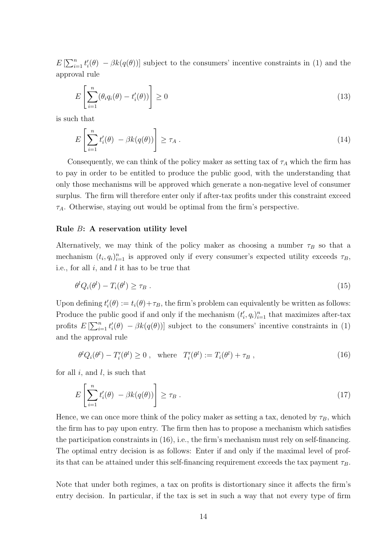$E\left[\sum_{i=1}^n t'_i(\theta) - \beta k(q(\theta))\right]$  subject to the consumers' incentive constraints in (1) and the approval rule

$$
E\left[\sum_{i=1}^{n}(\theta_i q_i(\theta) - t'_i(\theta))\right] \ge 0
$$
\n(13)

is such that

$$
E\left[\sum_{i=1}^{n} t'_{i}(\theta) - \beta k(q(\theta))\right] \geq \tau_{A}.
$$
\n(14)

Consequently, we can think of the policy maker as setting tax of  $\tau_A$  which the firm has to pay in order to be entitled to produce the public good, with the understanding that only those mechanisms will be approved which generate a non-negative level of consumer surplus. The firm will therefore enter only if after-tax profits under this constraint exceed  $\tau_A$ . Otherwise, staying out would be optimal from the firm's perspective.

#### Rule B: A reservation utility level

Alternatively, we may think of the policy maker as choosing a number  $\tau_B$  so that a mechanism  $(t_i, q_i)_{i=1}^n$  is approved only if every consumer's expected utility exceeds  $\tau_B$ , i.e., for all  $i$ , and  $l$  it has to be true that

$$
\theta^l Q_i(\theta^l) - T_i(\theta^l) \ge \tau_B \tag{15}
$$

Upon defining  $t'_{i}(\theta) := t_{i}(\theta) + \tau_{B}$ , the firm's problem can equivalently be written as follows: Produce the public good if and only if the mechanism  $(t'_i, q_i)_{i=1}^n$  that maximizes after-tax profits  $E\left[\sum_{i=1}^n t'_i(\theta) - \beta k(q(\theta))\right]$  subject to the consumers' incentive constraints in (1) and the approval rule

$$
\theta^l Q_i(\theta^l) - T'_i(\theta^l) \ge 0 \;, \quad \text{where} \quad T'_i(\theta^l) := T_i(\theta^l) + \tau_B \;, \tag{16}
$$

for all  $i$ , and  $l$ , is such that

$$
E\left[\sum_{i=1}^{n} t'_{i}(\theta) - \beta k(q(\theta))\right] \geq \tau_{B} . \tag{17}
$$

Hence, we can once more think of the policy maker as setting a tax, denoted by  $\tau_B$ , which the firm has to pay upon entry. The firm then has to propose a mechanism which satisfies the participation constraints in (16), i.e., the firm's mechanism must rely on self-financing. The optimal entry decision is as follows: Enter if and only if the maximal level of profits that can be attained under this self-financing requirement exceeds the tax payment  $\tau_B$ .

Note that under both regimes, a tax on profits is distortionary since it affects the firm's entry decision. In particular, if the tax is set in such a way that not every type of firm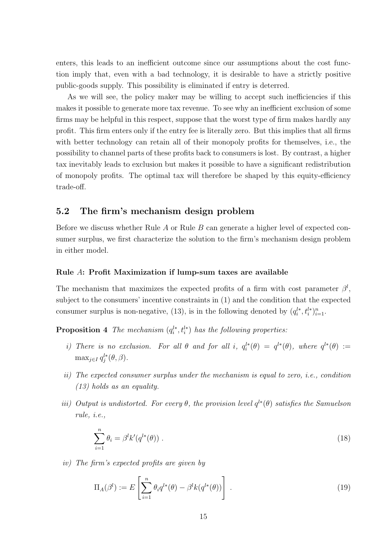enters, this leads to an inefficient outcome since our assumptions about the cost function imply that, even with a bad technology, it is desirable to have a strictly positive public-goods supply. This possibility is eliminated if entry is deterred.

As we will see, the policy maker may be willing to accept such inefficiencies if this makes it possible to generate more tax revenue. To see why an inefficient exclusion of some firms may be helpful in this respect, suppose that the worst type of firm makes hardly any profit. This firm enters only if the entry fee is literally zero. But this implies that all firms with better technology can retain all of their monopoly profits for themselves, i.e., the possibility to channel parts of these profits back to consumers is lost. By contrast, a higher tax inevitably leads to exclusion but makes it possible to have a significant redistribution of monopoly profits. The optimal tax will therefore be shaped by this equity-efficiency trade-off.

## 5.2 The firm's mechanism design problem

Before we discuss whether Rule A or Rule B can generate a higher level of expected consumer surplus, we first characterize the solution to the firm's mechanism design problem in either model.

#### Rule A: Profit Maximization if lump-sum taxes are available

The mechanism that maximizes the expected profits of a firm with cost parameter  $\beta^l$ , subject to the consumers' incentive constraints in (1) and the condition that the expected consumer surplus is non-negative, (13), is in the following denoted by  $(q_i^{l*}, t_i^{l*})_{i=1}^n$ .

**Proposition 4** The mechanism  $(q_i^{l*}, t_i^{l*})$  has the following properties:

- i) There is no exclusion. For all  $\theta$  and for all i,  $q_i^{l*}(\theta) = q^{l*}(\theta)$ , where  $q^{l*}(\theta) :=$  $\max_{j\in I} q_j^{l*}(\theta,\beta).$
- ii) The expected consumer surplus under the mechanism is equal to zero, i.e., condition (13) holds as an equality.
- iii) Output is undistorted. For every  $\theta$ , the provision level  $q^{l*}(\theta)$  satisfies the Samuelson rule, i.e.,

$$
\sum_{i=1}^{n} \theta_i = \beta^l k'(q^{l*}(\theta)).
$$
\n(18)

iv) The firm's expected profits are given by

$$
\Pi_A(\beta^l) := E\left[\sum_{i=1}^n \theta_i q^{l*}(\theta) - \beta^l k(q^{l*}(\theta))\right].
$$
\n(19)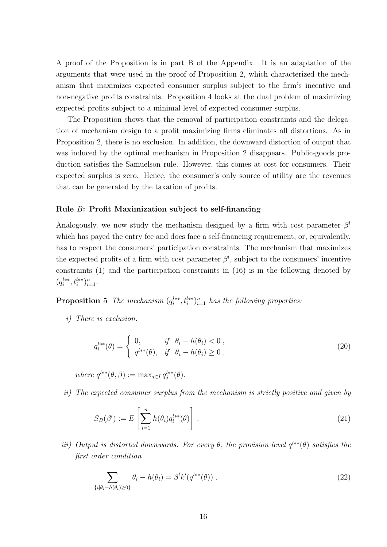A proof of the Proposition is in part B of the Appendix. It is an adaptation of the arguments that were used in the proof of Proposition 2, which characterized the mechanism that maximizes expected consumer surplus subject to the firm's incentive and non-negative profits constraints. Proposition 4 looks at the dual problem of maximizing expected profits subject to a minimal level of expected consumer surplus.

The Proposition shows that the removal of participation constraints and the delegation of mechanism design to a profit maximizing firms eliminates all distortions. As in Proposition 2, there is no exclusion. In addition, the downward distortion of output that was induced by the optimal mechanism in Proposition 2 disappears. Public-goods production satisfies the Samuelson rule. However, this comes at cost for consumers. Their expected surplus is zero. Hence, the consumer's only source of utility are the revenues that can be generated by the taxation of profits.

#### Rule B: Profit Maximization subject to self-financing

Analogously, we now study the mechanism designed by a firm with cost parameter  $\beta^l$ which has payed the entry fee and does face a self-financing requirement, or, equivalently, has to respect the consumers' participation constraints. The mechanism that maximizes the expected profits of a firm with cost parameter  $\beta^l$ , subject to the consumers' incentive constraints (1) and the participation constraints in (16) is in the following denoted by  $(q_i^{l**}, t_i^{l**})_{i=1}^n$ .

**Proposition 5** The mechanism  $(q_i^{l**}, t_i^{l**})_{i=1}^n$  has the following properties:

i) There is exclusion:

$$
q_i^{l**}(\theta) = \begin{cases} 0, & \text{if } \theta_i - h(\theta_i) < 0 \\ q^{l**}(\theta), & \text{if } \theta_i - h(\theta_i) \ge 0 \end{cases} \tag{20}
$$

where  $q^{l**}(\theta, \beta) := \max_{j \in I} q_j^{l**}(\theta)$ .

ii) The expected consumer surplus from the mechanism is strictly positive and given by

$$
S_B(\beta^l) := E\left[\sum_{i=1}^n h(\theta_i) q_i^{l**}(\theta)\right].
$$
\n(21)

iii) Output is distorted downwards. For every  $\theta$ , the provision level  $q^{l**}(\theta)$  satisfies the first order condition

$$
\sum_{\{i|\theta_i - h(\theta_i) \ge 0\}} \theta_i - h(\theta_i) = \beta^l k'(q^{l**}(\theta)) \,. \tag{22}
$$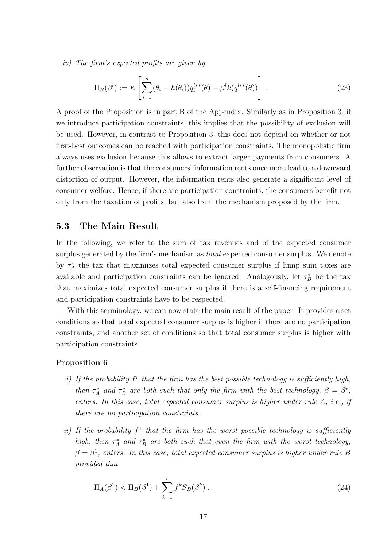iv) The firm's expected profits are given by

$$
\Pi_B(\beta^l) := E\left[\sum_{i=1}^n (\theta_i - h(\theta_i)) q_i^{l**}(\theta) - \beta^l k(q^{l**}(\theta))\right].
$$
\n(23)

A proof of the Proposition is in part B of the Appendix. Similarly as in Proposition 3, if we introduce participation constraints, this implies that the possibility of exclusion will be used. However, in contrast to Proposition 3, this does not depend on whether or not first-best outcomes can be reached with participation constraints. The monopolistic firm always uses exclusion because this allows to extract larger payments from consumers. A further observation is that the consumers' information rents once more lead to a downward distortion of output. However, the information rents also generate a significant level of consumer welfare. Hence, if there are participation constraints, the consumers benefit not only from the taxation of profits, but also from the mechanism proposed by the firm.

### 5.3 The Main Result

In the following, we refer to the sum of tax revenues and of the expected consumer surplus generated by the firm's mechanism as *total* expected consumer surplus. We denote by  $\tau_A^*$  the tax that maximizes total expected consumer surplus if lump sum taxes are available and participation constraints can be ignored. Analogously, let  $\tau_B^*$  be the tax that maximizes total expected consumer surplus if there is a self-financing requirement and participation constraints have to be respected.

With this terminology, we can now state the main result of the paper. It provides a set conditions so that total expected consumer surplus is higher if there are no participation constraints, and another set of conditions so that total consumer surplus is higher with participation constraints.

#### Proposition 6

- i) If the probability  $f^r$  that the firm has the best possible technology is sufficiently high, then  $\tau_A^*$  and  $\tau_B^*$  are both such that only the firm with the best technology,  $\beta = \beta^r$ , enters. In this case, total expected consumer surplus is higher under rule A, i.e., if there are no participation constraints.
- ii) If the probability  $f^1$  that the firm has the worst possible technology is sufficiently high, then  $\tau_A^*$  and  $\tau_B^*$  are both such that even the firm with the worst technology,  $\beta = \beta^1$ , enters. In this case, total expected consumer surplus is higher under rule B provided that

$$
\Pi_A(\beta^1) < \Pi_B(\beta^1) + \sum_{k=1}^r f^k S_B(\beta^k) \tag{24}
$$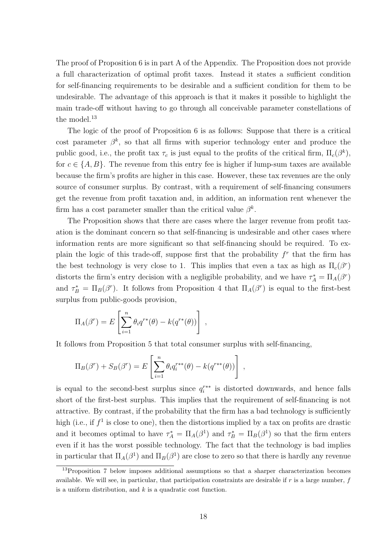The proof of Proposition 6 is in part A of the Appendix. The Proposition does not provide a full characterization of optimal profit taxes. Instead it states a sufficient condition for self-financing requirements to be desirable and a sufficient condition for them to be undesirable. The advantage of this approach is that it makes it possible to highlight the main trade-off without having to go through all conceivable parameter constellations of the model.<sup>13</sup>

The logic of the proof of Proposition 6 is as follows: Suppose that there is a critical cost parameter  $\beta^k$ , so that all firms with superior technology enter and produce the public good, i.e., the profit tax  $\tau_c$  is just equal to the profits of the critical firm,  $\Pi_c(\beta^k)$ , for  $c \in \{A, B\}$ . The revenue from this entry fee is higher if lump-sum taxes are available because the firm's profits are higher in this case. However, these tax revenues are the only source of consumer surplus. By contrast, with a requirement of self-financing consumers get the revenue from profit taxation and, in addition, an information rent whenever the firm has a cost parameter smaller than the critical value  $\beta^k$ .

The Proposition shows that there are cases where the larger revenue from profit taxation is the dominant concern so that self-financing is undesirable and other cases where information rents are more significant so that self-financing should be required. To explain the logic of this trade-off, suppose first that the probability  $f^r$  that the firm has the best technology is very close to 1. This implies that even a tax as high as  $\Pi_c(\beta^r)$ distorts the firm's entry decision with a negligible probability, and we have  $\tau_A^* = \Pi_A(\beta^r)$ and  $\tau_B^* = \Pi_B(\beta^r)$ . It follows from Proposition 4 that  $\Pi_A(\beta^r)$  is equal to the first-best surplus from public-goods provision,

$$
\Pi_A(\beta^r) = E\left[\sum_{i=1}^n \theta_i q^{r*}(\theta) - k(q^{r*}(\theta))\right],
$$

It follows from Proposition 5 that total consumer surplus with self-financing,

$$
\Pi_B(\beta^r) + S_B(\beta^r) = E\left[\sum_{i=1}^n \theta_i q_i^{r**}(\theta) - k(q^{r**}(\theta))\right],
$$

is equal to the second-best surplus since  $q_i^{r**}$  is distorted downwards, and hence falls short of the first-best surplus. This implies that the requirement of self-financing is not attractive. By contrast, if the probability that the firm has a bad technology is sufficiently high (i.e., if  $f^1$  is close to one), then the distortions implied by a tax on profits are drastic and it becomes optimal to have  $\tau_A^* = \Pi_A(\beta^1)$  and  $\tau_B^* = \Pi_B(\beta^1)$  so that the firm enters even if it has the worst possible technology. The fact that the technology is bad implies in particular that  $\Pi_A(\beta^1)$  and  $\Pi_B(\beta^1)$  are close to zero so that there is hardly any revenue

<sup>&</sup>lt;sup>13</sup>Proposition 7 below imposes additional assumptions so that a sharper characterization becomes available. We will see, in particular, that participation constraints are desirable if  $r$  is a large number,  $f$ is a uniform distribution, and  $k$  is a quadratic cost function.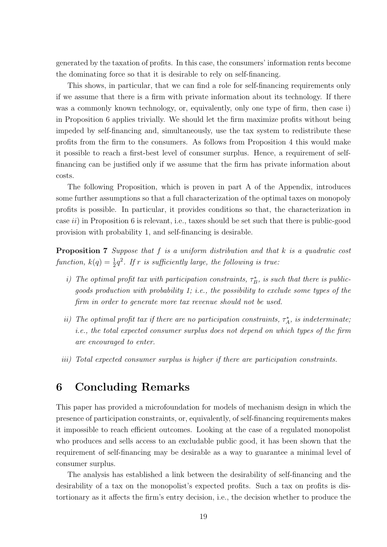generated by the taxation of profits. In this case, the consumers' information rents become the dominating force so that it is desirable to rely on self-financing.

This shows, in particular, that we can find a role for self-financing requirements only if we assume that there is a firm with private information about its technology. If there was a commonly known technology, or, equivalently, only one type of firm, then case i) in Proposition 6 applies trivially. We should let the firm maximize profits without being impeded by self-financing and, simultaneously, use the tax system to redistribute these profits from the firm to the consumers. As follows from Proposition 4 this would make it possible to reach a first-best level of consumer surplus. Hence, a requirement of selffinancing can be justified only if we assume that the firm has private information about costs.

The following Proposition, which is proven in part A of the Appendix, introduces some further assumptions so that a full characterization of the optimal taxes on monopoly profits is possible. In particular, it provides conditions so that, the characterization in case  $ii)$  in Proposition 6 is relevant, i.e., taxes should be set such that there is public-good provision with probability 1, and self-financing is desirable.

Proposition 7 Suppose that f is a uniform distribution and that k is a quadratic cost function,  $k(q) = \frac{1}{2}q^2$ . If r is sufficiently large, the following is true:

- i) The optimal profit tax with participation constraints,  $\tau_B^*$ , is such that there is publicgoods production with probability 1; i.e., the possibility to exclude some types of the firm in order to generate more tax revenue should not be used.
- ii) The optimal profit tax if there are no participation constraints,  $\tau_A^*$ , is indeterminate; i.e., the total expected consumer surplus does not depend on which types of the firm are encouraged to enter.
- iii) Total expected consumer surplus is higher if there are participation constraints.

# 6 Concluding Remarks

This paper has provided a microfoundation for models of mechanism design in which the presence of participation constraints, or, equivalently, of self-financing requirements makes it impossible to reach efficient outcomes. Looking at the case of a regulated monopolist who produces and sells access to an excludable public good, it has been shown that the requirement of self-financing may be desirable as a way to guarantee a minimal level of consumer surplus.

The analysis has established a link between the desirability of self-financing and the desirability of a tax on the monopolist's expected profits. Such a tax on profits is distortionary as it affects the firm's entry decision, i.e., the decision whether to produce the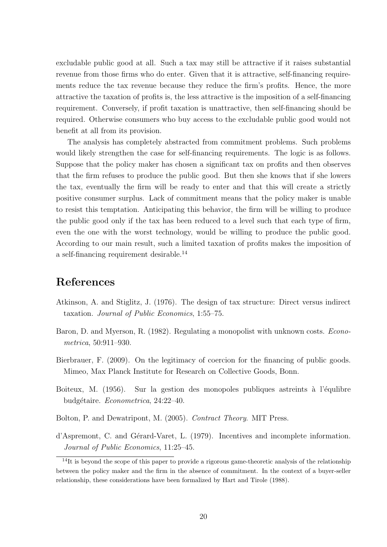excludable public good at all. Such a tax may still be attractive if it raises substantial revenue from those firms who do enter. Given that it is attractive, self-financing requirements reduce the tax revenue because they reduce the firm's profits. Hence, the more attractive the taxation of profits is, the less attractive is the imposition of a self-financing requirement. Conversely, if profit taxation is unattractive, then self-financing should be required. Otherwise consumers who buy access to the excludable public good would not benefit at all from its provision.

The analysis has completely abstracted from commitment problems. Such problems would likely strengthen the case for self-financing requirements. The logic is as follows. Suppose that the policy maker has chosen a significant tax on profits and then observes that the firm refuses to produce the public good. But then she knows that if she lowers the tax, eventually the firm will be ready to enter and that this will create a strictly positive consumer surplus. Lack of commitment means that the policy maker is unable to resist this temptation. Anticipating this behavior, the firm will be willing to produce the public good only if the tax has been reduced to a level such that each type of firm, even the one with the worst technology, would be willing to produce the public good. According to our main result, such a limited taxation of profits makes the imposition of a self-financing requirement desirable.<sup>14</sup>

# References

- Atkinson, A. and Stiglitz, J. (1976). The design of tax structure: Direct versus indirect taxation. Journal of Public Economics, 1:55–75.
- Baron, D. and Myerson, R. (1982). Regulating a monopolist with unknown costs. Econometrica, 50:911–930.
- Bierbrauer, F. (2009). On the legitimacy of coercion for the financing of public goods. Mimeo, Max Planck Institute for Research on Collective Goods, Bonn.
- Boiteux, M. (1956). Sur la gestion des monopoles publiques astreints à l'équlibre budgétaire. Econometrica, 24:22-40.
- Bolton, P. and Dewatripont, M. (2005). Contract Theory. MIT Press.
- d'Aspremont, C. and Gérard-Varet, L. (1979). Incentives and incomplete information. Journal of Public Economics, 11:25–45.

<sup>&</sup>lt;sup>14</sup>It is beyond the scope of this paper to provide a rigorous game-theoretic analysis of the relationship between the policy maker and the firm in the absence of commitment. In the context of a buyer-seller relationship, these considerations have been formalized by Hart and Tirole (1988).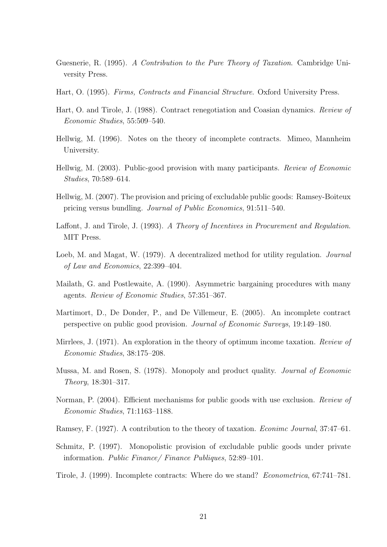- Guesnerie, R. (1995). A Contribution to the Pure Theory of Taxation. Cambridge University Press.
- Hart, O. (1995). Firms, Contracts and Financial Structure. Oxford University Press.
- Hart, O. and Tirole, J. (1988). Contract renegotiation and Coasian dynamics. Review of Economic Studies, 55:509–540.
- Hellwig, M. (1996). Notes on the theory of incomplete contracts. Mimeo, Mannheim University.
- Hellwig, M. (2003). Public-good provision with many participants. Review of Economic Studies, 70:589–614.
- Hellwig, M. (2007). The provision and pricing of excludable public goods: Ramsey-Boiteux pricing versus bundling. Journal of Public Economics, 91:511–540.
- Laffont, J. and Tirole, J. (1993). A Theory of Incentives in Procurement and Regulation. MIT Press.
- Loeb, M. and Magat, W. (1979). A decentralized method for utility regulation. Journal of Law and Economics, 22:399–404.
- Mailath, G. and Postlewaite, A. (1990). Asymmetric bargaining procedures with many agents. Review of Economic Studies, 57:351–367.
- Martimort, D., De Donder, P., and De Villemeur, E. (2005). An incomplete contract perspective on public good provision. Journal of Economic Surveys, 19:149–180.
- Mirrlees, J. (1971). An exploration in the theory of optimum income taxation. Review of Economic Studies, 38:175–208.
- Mussa, M. and Rosen, S. (1978). Monopoly and product quality. Journal of Economic Theory, 18:301–317.
- Norman, P. (2004). Efficient mechanisms for public goods with use exclusion. Review of Economic Studies, 71:1163–1188.
- Ramsey, F. (1927). A contribution to the theory of taxation. Econimc Journal, 37:47–61.
- Schmitz, P. (1997). Monopolistic provision of excludable public goods under private information. Public Finance/ Finance Publiques, 52:89–101.
- Tirole, J. (1999). Incomplete contracts: Where do we stand? Econometrica, 67:741–781.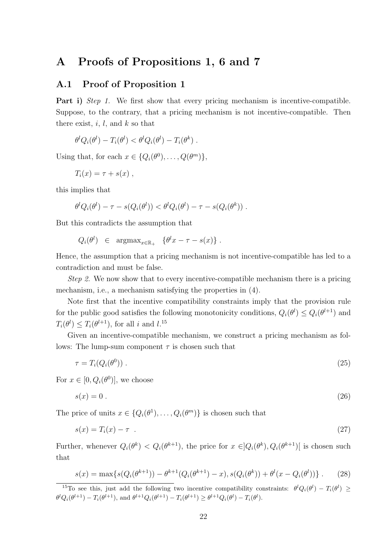# A Proofs of Propositions 1, 6 and 7

### A.1 Proof of Proposition 1

**Part i)** Step 1. We first show that every pricing mechanism is incentive-compatible. Suppose, to the contrary, that a pricing mechanism is not incentive-compatible. Then there exist,  $i, l$ , and  $k$  so that

$$
\theta^l Q_i(\theta^l) - T_i(\theta^l) < \theta^l Q_i(\theta^l) - T_i(\theta^k) \; .
$$

Using that, for each  $x \in \{Q_i(\theta^0), \ldots, Q(\theta^m)\},$ 

$$
T_i(x) = \tau + s(x) ,
$$

this implies that

$$
\theta^l Q_i(\theta^l) - \tau - s(Q_i(\theta^l)) < \theta^l Q_i(\theta^l) - \tau - s(Q_i(\theta^k)) \; .
$$

But this contradicts the assumption that

$$
Q_i(\theta^l) \in \operatorname{argmax}_{x \in \mathbb{R}_+} \{\theta^l x - \tau - s(x)\}.
$$

Hence, the assumption that a pricing mechanism is not incentive-compatible has led to a contradiction and must be false.

Step 2. We now show that to every incentive-compatible mechanism there is a pricing mechanism, i.e., a mechanism satisfying the properties in  $(4)$ .

Note first that the incentive compatibility constraints imply that the provision rule for the public good satisfies the following monotonicity conditions,  $Q_i(\theta^l) \leq Q_i(\theta^{l+1})$  and  $T_i(\theta^l) \leq T_i(\theta^{l+1})$ , for all i and  $l^{15}$ 

Given an incentive-compatible mechanism, we construct a pricing mechanism as follows: The lump-sum component  $\tau$  is chosen such that

$$
\tau = T_i(Q_i(\theta^0)) \tag{25}
$$

For  $x \in [0, Q_i(\theta^0)]$ , we choose

$$
s(x) = 0.
$$
\n<sup>(26)</sup>

The price of units  $x \in \{Q_i(\theta^1), \ldots, Q_i(\theta^m)\}\$ is chosen such that

$$
s(x) = T_i(x) - \tau \tag{27}
$$

Further, whenever  $Q_i(\theta^k) < Q_i(\theta^{k+1})$ , the price for  $x \in ]Q_i(\theta^k), Q_i(\theta^{k+1})]$  is chosen such that

$$
s(x) = \max\{s(Q_i(\theta^{k+1})) - \theta^{k+1}(Q_i(\theta^{k+1}) - x), s(Q_i(\theta^k)) + \theta^l(x - Q_i(\theta^l))\}.
$$
 (28)

<sup>&</sup>lt;sup>15</sup>To see this, just add the following two incentive compatibility constraints:  $\theta^l Q_i(\theta^l) - T_i(\theta^l) \geq$  $\theta^l Q_i(\theta^{l+1}) - T_i(\theta^{l+1}),$  and  $\theta^{l+1} Q_i(\theta^{l+1}) - T_i(\theta^{l+1}) \geq \theta^{l+1} Q_i(\theta^l) - T_i(\theta^l).$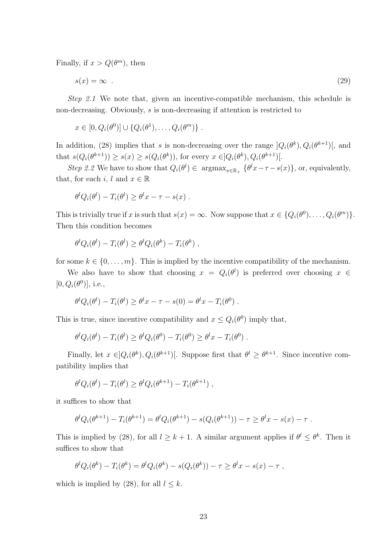Finally, if  $x > Q(\theta^m)$ , then

$$
s(x) = \infty \tag{29}
$$

Step 2.1 We note that, given an incentive-compatible mechanism, this schedule is non-decreasing. Obviously, s is non-decreasing if attention is restricted to

$$
x \in [0, Q_i(\theta^0)] \cup \{Q_i(\theta^1), \ldots, Q_i(\theta^m)\}.
$$

In addition, (28) implies that s is non-decreasing over the range  $]Q_i(\theta^k)$ ,  $Q_i(\theta^{k+1})[$ , and that  $s(Q_i(\theta^{k+1})) \ge s(x) \ge s(Q_i(\theta^k))$ , for every  $x \in ]Q_i(\theta^k), Q_i(\theta^{k+1})[$ .

Step 2.2 We have to show that  $Q_i(\theta^l) \in \operatorname{argmax}_{x \in \mathbb{R}_+} {\{\theta^l x - \tau - s(x)\}}$ , or, equivalently, that, for each  $i, l$  and  $x \in \mathbb{R}$ 

$$
\theta^l Q_i(\theta^l) - T_i(\theta^l) \ge \theta^l x - \tau - s(x) .
$$

This is trivially true if x is such that  $s(x) = \infty$ . Now suppose that  $x \in \{Q_i(\theta^0), \ldots, Q_i(\theta^m)\}.$ Then this condition becomes

$$
\theta^l Q_i(\theta^l) - T_i(\theta^l) \ge \theta^l Q_i(\theta^k) - T_i(\theta^k) ,
$$

for some  $k \in \{0, \ldots, m\}$ . This is implied by the incentive compatibility of the mechanism.

We also have to show that choosing  $x = Q_i(\theta^l)$  is preferred over choosing  $x \in$  $[0, Q_i(\theta^0)],$  i.e.,

$$
\theta^l Q_i(\theta^l) - T_i(\theta^l) \ge \theta^l x - \tau - s(0) = \theta^l x - T_i(\theta^0) .
$$

This is true, since incentive compatibility and  $x \le Q_i(\theta^0)$  imply that,

$$
\theta^l Q_i(\theta^l) - T_i(\theta^l) \ge \theta^l Q_i(\theta^0) - T_i(\theta^0) \ge \theta^l x - T_i(\theta^0) .
$$

Finally, let  $x \in ]Q_i(\theta^k), Q_i(\theta^{k+1})[$ . Suppose first that  $\theta^l \ge \theta^{k+1}$ . Since incentive compatibility implies that

$$
\theta^l Q_i(\theta^l) - T_i(\theta^l) \geq \theta^l Q_i(\theta^{k+1}) - T_i(\theta^{k+1}),
$$

it suffices to show that

$$
\theta^l Q_i(\theta^{k+1}) - T_i(\theta^{k+1}) = \theta^l Q_i(\theta^{k+1}) - s(Q_i(\theta^{k+1})) - \tau \ge \theta^l x - s(x) - \tau.
$$

This is implied by (28), for all  $l \geq k+1$ . A similar argument applies if  $\theta^l \leq \theta^k$ . Then it suffices to show that

$$
\theta^l Q_i(\theta^k) - T_i(\theta^k) = \theta^l Q_i(\theta^k) - s(Q_i(\theta^k)) - \tau \ge \theta^l x - s(x) - \tau,
$$

which is implied by (28), for all  $l \leq k$ .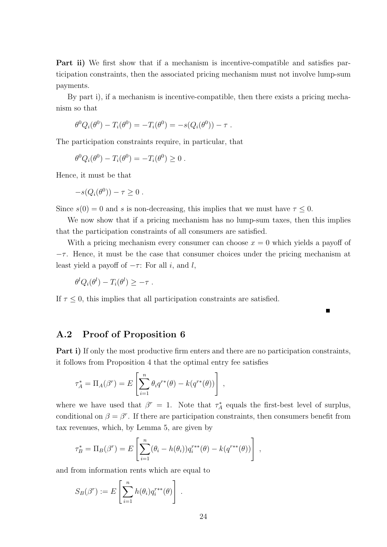Part ii) We first show that if a mechanism is incentive-compatible and satisfies participation constraints, then the associated pricing mechanism must not involve lump-sum payments.

By part i), if a mechanism is incentive-compatible, then there exists a pricing mechanism so that

$$
\theta^0 Q_i(\theta^0) - T_i(\theta^0) = -T_i(\theta^0) = -s(Q_i(\theta^0)) - \tau.
$$

The participation constraints require, in particular, that

$$
\theta^0 Q_i(\theta^0) - T_i(\theta^0) = -T_i(\theta^0) \ge 0.
$$

Hence, it must be that

$$
-s(Q_i(\theta^0)) - \tau \geq 0.
$$

Since  $s(0) = 0$  and s is non-decreasing, this implies that we must have  $\tau \leq 0$ .

We now show that if a pricing mechanism has no lump-sum taxes, then this implies that the participation constraints of all consumers are satisfied.

With a pricing mechanism every consumer can choose  $x = 0$  which yields a payoff of  $-\tau$ . Hence, it must be the case that consumer choices under the pricing mechanism at least yield a payoff of  $-\tau$ : For all i, and l,

$$
\theta^l Q_i(\theta^l) - T_i(\theta^l) \geq -\tau.
$$

If  $\tau \leq 0$ , this implies that all participation constraints are satisfied.

### A.2 Proof of Proposition 6

Part i) If only the most productive firm enters and there are no participation constraints, it follows from Proposition 4 that the optimal entry fee satisfies

$$
\tau_A^* = \Pi_A(\beta^r) = E\left[\sum_{i=1}^n \theta_i q^{r*}(\theta) - k(q^{r*}(\theta))\right],
$$

where we have used that  $\beta^r = 1$ . Note that  $\tau_A^*$  equals the first-best level of surplus, conditional on  $\beta = \beta^r$ . If there are participation constraints, then consumers benefit from tax revenues, which, by Lemma 5, are given by

$$
\tau_B^* = \Pi_B(\beta^r) = E\left[\sum_{i=1}^n (\theta_i - h(\theta_i))q_i^{r**}(\theta) - k(q^{r**}(\theta))\right],
$$

and from information rents which are equal to

$$
S_B(\beta^r) := E\left[\sum_{i=1}^n h(\theta_i) q_i^{r**}(\theta)\right].
$$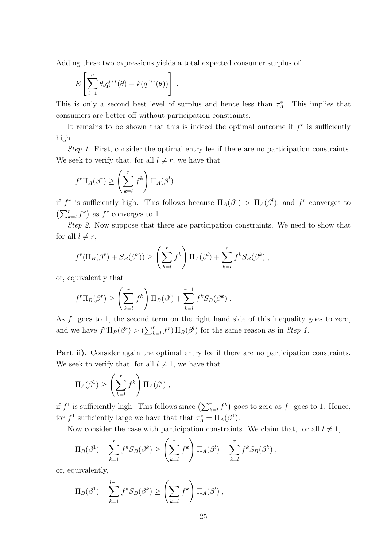Adding these two expressions yields a total expected consumer surplus of

$$
E\left[\sum_{i=1}^n \theta_i q_i^{r**}(\theta) - k(q^{r**}(\theta))\right].
$$

This is only a second best level of surplus and hence less than  $\tau_A^*$ . This implies that consumers are better off without participation constraints.

It remains to be shown that this is indeed the optimal outcome if  $f<sup>r</sup>$  is sufficiently high.

Step 1. First, consider the optimal entry fee if there are no participation constraints. We seek to verify that, for all  $l \neq r$ , we have that

$$
f^{r} \Pi_{A}(\beta^{r}) \geq \left(\sum_{k=l}^{r} f^{k}\right) \Pi_{A}(\beta^{l}),
$$

if  $f^r$  is sufficiently high. This follows because  $\Pi_A(\beta^r) > \Pi_A(\beta^l)$ , and  $f^r$  converges to  $\left(\sum_{k=l}^{r} f^{k}\right)$  as  $f^{r}$  converges to 1.

Step 2. Now suppose that there are participation constraints. We need to show that for all  $l \neq r$ ,

$$
f^{r}(\Pi_{B}(\beta^{r})+S_{B}(\beta^{r}))\geq \left(\sum_{k=l}^{r}f^{k}\right)\Pi_{A}(\beta^{l})+\sum_{k=l}^{r}f^{k}S_{B}(\beta^{k}),
$$

or, equivalently that

$$
f^{r}\Pi_{B}(\beta^{r}) \geq \left(\sum_{k=l}^{r} f^{k}\right) \Pi_{B}(\beta^{l}) + \sum_{k=l}^{r-1} f^{k} S_{B}(\beta^{k}).
$$

As  $f^r$  goes to 1, the second term on the right hand side of this inequality goes to zero, and we have  $f^r \Pi_B(\beta^r) > (\sum_{k=1}^r f^r) \Pi_B(\beta^l)$  for the same reason as in Step 1.

Part ii). Consider again the optimal entry fee if there are no participation constraints. We seek to verify that, for all  $l \neq 1$ , we have that

$$
\Pi_A(\beta^1) \ge \left(\sum_{k=l}^r f^k\right) \Pi_A(\beta^l) ,
$$

if  $f^1$  is sufficiently high. This follows since  $\left(\sum_{k=l}^r f^k\right)$  goes to zero as  $f^1$  goes to 1. Hence, for  $f^1$  sufficiently large we have that that  $\tau_A^* = \Pi_A(\beta^1)$ .

Now consider the case with participation constraints. We claim that, for all  $l \neq 1$ ,

$$
\Pi_B(\beta^1) + \sum_{k=1}^r f^k S_B(\beta^k) \ge \left(\sum_{k=l}^r f^k\right) \Pi_A(\beta^l) + \sum_{k=l}^r f^k S_B(\beta^k) ,
$$

or, equivalently,

$$
\Pi_B(\beta^1) + \sum_{k=1}^{l-1} f^k S_B(\beta^k) \ge \left(\sum_{k=l}^r f^k\right) \Pi_A(\beta^l) ,
$$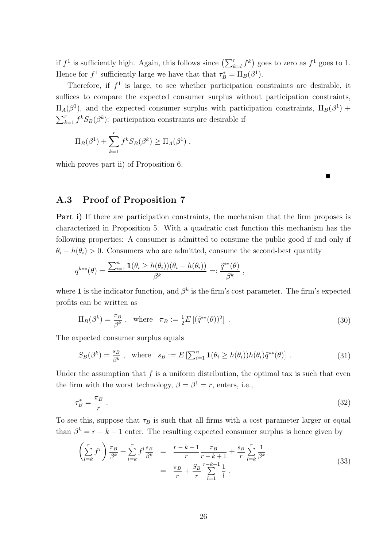if  $f^1$  is sufficiently high. Again, this follows since  $\left(\sum_{k=1}^r f^k\right)$  goes to zero as  $f^1$  goes to 1. Hence for  $f^1$  sufficiently large we have that that  $\tau_B^* = \Pi_B(\beta^1)$ .

Therefore, if  $f^1$  is large, to see whether participation constraints are desirable, it suffices to compare the expected consumer surplus without participation constraints,  $\Pi_A(\beta^1)$ , and the expected consumer surplus with participation constraints,  $\Pi_B(\beta^1)$  +  $\sum_{k=1}^r f^k S_B(\beta^k)$ : participation constraints are desirable if

$$
\Pi_B(\beta^1) + \sum_{k=1}^r f^k S_B(\beta^k) \ge \Pi_A(\beta^1) ,
$$

which proves part ii) of Proposition 6.

A.3 Proof of Proposition 7

Part i) If there are participation constraints, the mechanism that the firm proposes is characterized in Proposition 5. With a quadratic cost function this mechanism has the following properties: A consumer is admitted to consume the public good if and only if  $\theta_i - h(\theta_i) > 0$ . Consumers who are admitted, consume the second-best quantity

$$
q^{k**}(\theta) = \frac{\sum_{i=1}^n \mathbf{1}(\theta_i \ge h(\theta_i))(\theta_i - h(\theta_i))}{\beta^k} =: \frac{\tilde{q}^{**}(\theta)}{\beta^k},
$$

where 1 is the indicator function, and  $\beta^k$  is the firm's cost parameter. The firm's expected profits can be written as

$$
\Pi_B(\beta^k) = \frac{\pi_B}{\beta^k}, \quad \text{where} \quad \pi_B := \frac{1}{2} E\left[ (\tilde{q}^{**}(\theta))^2 \right]. \tag{30}
$$

The expected consumer surplus equals

$$
S_B(\beta^k) = \frac{s_B}{\beta^k}, \quad \text{where} \quad s_B := E\left[\sum_{i=1}^n \mathbf{1}(\theta_i \ge h(\theta_i)) h(\theta_i) \tilde{q}^{**}(\theta)\right]. \tag{31}
$$

Under the assumption that  $f$  is a uniform distribution, the optimal tax is such that even the firm with the worst technology,  $\beta = \beta^1 = r$ , enters, i.e.,

$$
\tau_B^* = \frac{\pi_B}{r} \,. \tag{32}
$$

To see this, suppose that  $\tau_B$  is such that all firms with a cost parameter larger or equal than  $\beta^k = r - k + 1$  enter. The resulting expected consumer surplus is hence given by

$$
\left(\sum_{l=k}^{r} f^{r}\right) \frac{\pi_{B}}{\beta^{k}} + \sum_{l=k}^{r} f^{l} \frac{s_{B}}{\beta^{k}} = \frac{r-k+1}{r} \frac{\pi_{B}}{r-k+1} + \frac{s_{B}}{r} \sum_{l=k}^{r} \frac{1}{\beta^{k}}
$$

$$
= \frac{\pi_{B}}{r} + \frac{S_{B}}{r} \sum_{l=1}^{r-k+1} \frac{1}{l}.
$$
 (33)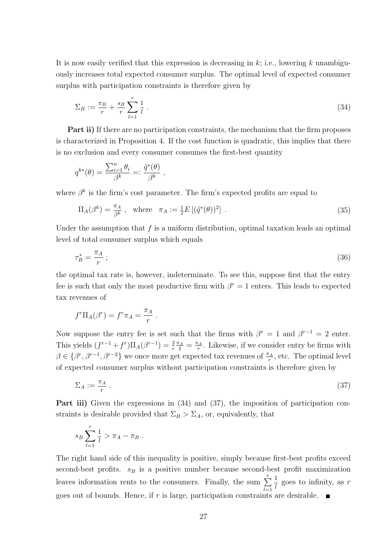It is now easily verified that this expression is decreasing in  $k$ ; i.e., lowering k unambiguously increases total expected consumer surplus. The optimal level of expected consumer surplus with participation constraints is therefore given by

$$
\Sigma_B := \frac{\pi_B}{r} + \frac{s_B}{r} \sum_{l=1}^r \frac{1}{l} \,. \tag{34}
$$

**Part ii)** If there are no participation constraints, the mechanism that the firm proposes is characterized in Proposition 4. If the cost function is quadratic, this implies that there is no exclusion and every consumer consumes the first-best quantity

$$
q^{k*}(\theta) = \frac{\sum_{i=1}^n \theta_i}{\beta^k} =: \frac{\tilde{q}^*(\theta)}{\beta^k},
$$

where  $\beta^k$  is the firm's cost parameter. The firm's expected profits are equal to

$$
\Pi_A(\beta^k) = \frac{\pi_A}{\beta^k}, \quad \text{where} \quad \pi_A := \frac{1}{2} E\left[ (\tilde{q}^*(\theta))^2 \right]. \tag{35}
$$

Under the assumption that  $f$  is a uniform distribution, optimal taxation leads an optimal level of total consumer surplus which equals

$$
\tau_B^* = \frac{\pi_A}{r} \; ; \tag{36}
$$

the optimal tax rate is, however, indeterminate. To see this, suppose first that the entry fee is such that only the most productive firm with  $\beta^r = 1$  enters. This leads to expected tax revenues of

$$
f^{r}\Pi_{A}(\beta^{r}) = f^{r}\pi_{A} = \frac{\pi_{A}}{r} .
$$

Now suppose the entry fee is set such that the firms with  $\beta^{r} = 1$  and  $\beta^{r-1} = 2$  enter. This yields  $(f^{r-1} + f^r) \Pi_A(\beta^{r-1}) = \frac{2}{r}$  $\frac{\pi_A}{2} = \frac{\pi_A}{r}$  $\frac{r_A}{r}$ . Likewise, if we consider entry be firms with  $\beta \in \{\beta^r, \beta^{r-1}, \beta^{r-2}\}\$  we once more get expected tax revenues of  $\frac{\pi_A}{r}$ , etc. The optimal level of expected consumer surplus without participation constraints is therefore given by

$$
\Sigma_A := \frac{\pi_A}{r} \ . \tag{37}
$$

**Part iii)** Given the expressions in  $(34)$  and  $(37)$ , the imposition of participation constraints is desirable provided that  $\Sigma_B > \Sigma_A$ , or, equivalently, that

$$
s_B \sum_{l=1}^r \frac{1}{l} > \pi_A - \pi_B .
$$

The right hand side of this inequality is positive, simply because first-best profits exceed second-best profits.  $s_B$  is a positive number because second-best profit maximization leaves information rents to the consumers. Finally, the sum  $\sum_{r=1}^{r}$  $_{l=1}$ 1  $\frac{1}{l}$  goes to infinity, as r goes out of bounds. Hence, if  $r$  is large, participation constraints are desirable.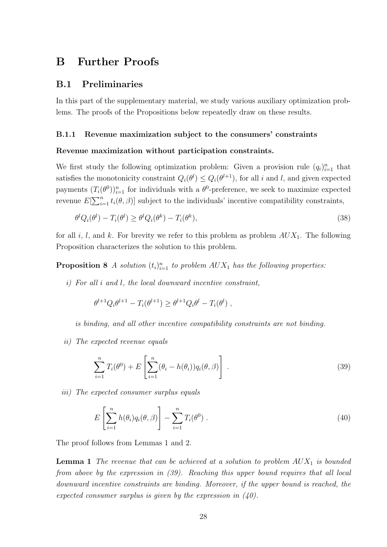# B Further Proofs

### B.1 Preliminaries

In this part of the supplementary material, we study various auxiliary optimization problems. The proofs of the Propositions below repeatedly draw on these results.

#### B.1.1 Revenue maximization subject to the consumers' constraints

#### Revenue maximization without participation constraints.

We first study the following optimization problem: Given a provision rule  $(q_i)_{i=1}^n$  that satisfies the monotonicity constraint  $Q_i(\theta^l) \leq Q_i(\theta^{l+1})$ , for all i and l, and given expected payments  $(T_i(\theta^0))_{i=1}^n$  for individuals with a  $\theta^0$ -preference, we seek to maximize expected revenue  $E[\sum_{i=1}^{n} t_i(\theta, \beta)]$  subject to the individuals' incentive compatibility constraints,

$$
\theta^l Q_i(\theta^l) - T_i(\theta^l) \ge \theta^l Q_i(\theta^k) - T_i(\theta^k),\tag{38}
$$

for all i, l, and k. For brevity we refer to this problem as problem  $AUX_1$ . The following Proposition characterizes the solution to this problem.

**Proposition 8** A solution  $(t_i)_{i=1}^n$  to problem  $AUX_1$  has the following properties:

i) For all i and l, the local downward incentive constraint,

$$
\theta^{l+1} Q_i \theta^{l+1} - T_i (\theta^{l+1}) \ge \theta^{l+1} Q_i \theta^l - T_i (\theta^l) ,
$$

is binding, and all other incentive compatibility constraints are not binding.

ii) The expected revenue equals

$$
\sum_{i=1}^{n} T_i(\theta^0) + E\left[\sum_{i=1}^{n} (\theta_i - h(\theta_i))q_i(\theta, \beta)\right].
$$
\n(39)

iii) The expected consumer surplus equals

$$
E\left[\sum_{i=1}^n h(\theta_i)q_i(\theta,\beta)\right] - \sum_{i=1}^n T_i(\theta^0).
$$
\n(40)

The proof follows from Lemmas 1 and 2.

**Lemma 1** The revenue that can be achieved at a solution to problem  $AUX_1$  is bounded from above by the expression in (39). Reaching this upper bound requires that all local downward incentive constraints are binding. Moreover, if the upper bound is reached, the expected consumer surplus is given by the expression in (40).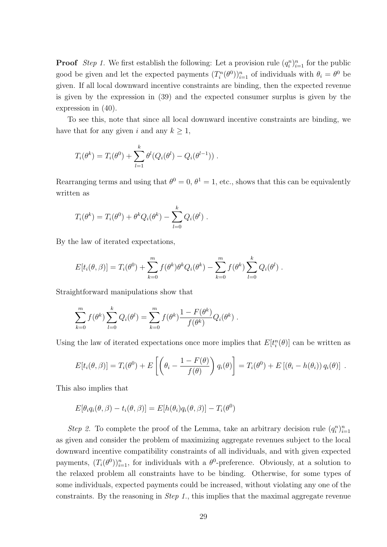**Proof** Step 1. We first establish the following: Let a provision rule  $(q_i^n)_{i=1}^n$  for the public good be given and let the expected payments  $(T_i^n(\theta^0))_{i=1}^n$  of individuals with  $\theta_i = \theta^0$  be given. If all local downward incentive constraints are binding, then the expected revenue is given by the expression in (39) and the expected consumer surplus is given by the expression in (40).

To see this, note that since all local downward incentive constraints are binding, we have that for any given i and any  $k \geq 1$ ,

$$
T_i(\theta^k) = T_i(\theta^0) + \sum_{l=1}^k \theta^l (Q_i(\theta^l) - Q_i(\theta^{l-1})) .
$$

Rearranging terms and using that  $\theta^0 = 0$ ,  $\theta^1 = 1$ , etc., shows that this can be equivalently written as

$$
T_i(\theta^k) = T_i(\theta^0) + \theta^k Q_i(\theta^k) - \sum_{l=0}^k Q_i(\theta^l) .
$$

By the law of iterated expectations,

$$
E[t_i(\theta, \beta)] = T_i(\theta^0) + \sum_{k=0}^m f(\theta^k) \theta^k Q_i(\theta^k) - \sum_{k=0}^m f(\theta^k) \sum_{l=0}^k Q_i(\theta^l).
$$

Straightforward manipulations show that

$$
\sum_{k=0}^{m} f(\theta^k) \sum_{l=0}^{k} Q_i(\theta^l) = \sum_{k=0}^{m} f(\theta^k) \frac{1 - F(\theta^k)}{f(\theta^k)} Q_i(\theta^k) .
$$

Using the law of iterated expectations once more implies that  $E[t_i^n(\theta)]$  can be written as

$$
E[t_i(\theta, \beta)] = T_i(\theta^0) + E\left[\left(\theta_i - \frac{1 - F(\theta)}{f(\theta)}\right)q_i(\theta)\right] = T_i(\theta^0) + E\left[\left(\theta_i - h(\theta_i)\right)q_i(\theta)\right].
$$

This also implies that

$$
E[\theta_i q_i(\theta, \beta) - t_i(\theta, \beta)] = E[h(\theta_i) q_i(\theta, \beta)] - T_i(\theta^0)
$$

Step 2. To complete the proof of the Lemma, take an arbitrary decision rule  $(q_i^n)_{i=1}^n$ as given and consider the problem of maximizing aggregate revenues subject to the local downward incentive compatibility constraints of all individuals, and with given expected payments,  $(T_i(\theta^0))_{i=1}^n$ , for individuals with a  $\theta^0$ -preference. Obviously, at a solution to the relaxed problem all constraints have to be binding. Otherwise, for some types of some individuals, expected payments could be increased, without violating any one of the constraints. By the reasoning in Step 1., this implies that the maximal aggregate revenue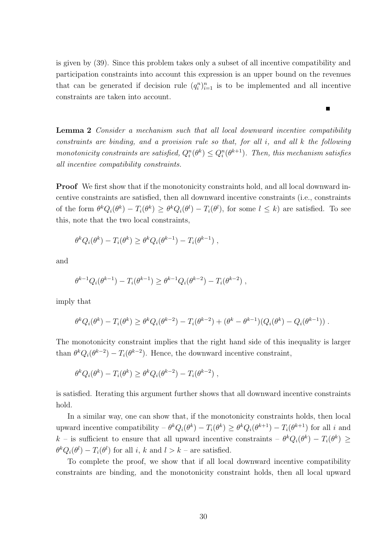is given by (39). Since this problem takes only a subset of all incentive compatibility and participation constraints into account this expression is an upper bound on the revenues that can be generated if decision rule  $(q_i^n)_{i=1}^n$  is to be implemented and all incentive constraints are taken into account.

Ē

Lemma 2 Consider a mechanism such that all local downward incentive compatibility constraints are binding, and a provision rule so that, for all i, and all k the following monotonicity constraints are satisfied,  $Q_i^n(\theta^k) \leq Q_i^n(\theta^{k+1})$ . Then, this mechanism satisfies all incentive compatibility constraints.

**Proof** We first show that if the monotonicity constraints hold, and all local downward incentive constraints are satisfied, then all downward incentive constraints (i.e., constraints of the form  $\theta^k Q_i(\theta^k) - T_i(\theta^k) \ge \theta^k Q_i(\theta^l) - T_i(\theta^l)$ , for some  $l \le k$ ) are satisfied. To see this, note that the two local constraints,

$$
\theta^k Q_i(\theta^k) - T_i(\theta^k) \ge \theta^k Q_i(\theta^{k-1}) - T_i(\theta^{k-1}),
$$

and

$$
\theta^{k-1} Q_i(\theta^{k-1}) - T_i(\theta^{k-1}) \ge \theta^{k-1} Q_i(\theta^{k-2}) - T_i(\theta^{k-2}),
$$

imply that

$$
\theta^k Q_i(\theta^k) - T_i(\theta^k) \ge \theta^k Q_i(\theta^{k-2}) - T_i(\theta^{k-2}) + (\theta^k - \theta^{k-1})(Q_i(\theta^k) - Q_i(\theta^{k-1}))
$$

The monotonicity constraint implies that the right hand side of this inequality is larger than  $\theta^k Q_i(\theta^{k-2}) - T_i(\theta^{k-2})$ . Hence, the downward incentive constraint,

$$
\theta^k Q_i(\theta^k) - T_i(\theta^k) \ge \theta^k Q_i(\theta^{k-2}) - T_i(\theta^{k-2}),
$$

is satisfied. Iterating this argument further shows that all downward incentive constraints hold.

In a similar way, one can show that, if the monotonicity constraints holds, then local upward incentive compatibility  $-\theta^k Q_i(\theta^k) - T_i(\theta^k) \ge \theta^k Q_i(\theta^{k+1}) - T_i(\theta^{k+1})$  for all i and k – is sufficient to ensure that all upward incentive constraints –  $\theta^k Q_i(\theta^k) - T_i(\theta^k) \ge$  $\theta^k Q_i(\theta^l) - T_i(\theta^l)$  for all i, k and  $l > k$  – are satisfied.

To complete the proof, we show that if all local downward incentive compatibility constraints are binding, and the monotonicity constraint holds, then all local upward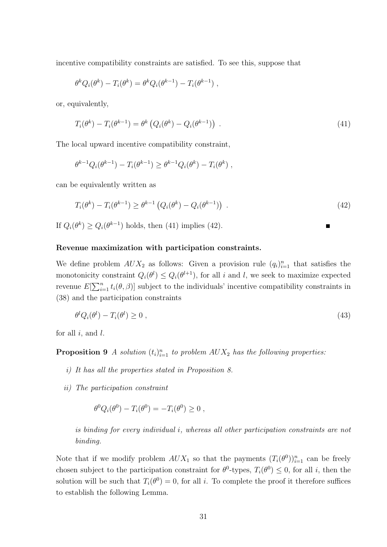incentive compatibility constraints are satisfied. To see this, suppose that

$$
\theta^k Q_i(\theta^k) - T_i(\theta^k) = \theta^k Q_i(\theta^{k-1}) - T_i(\theta^{k-1}),
$$

or, equivalently,

$$
T_i(\theta^k) - T_i(\theta^{k-1}) = \theta^k \left( Q_i(\theta^k) - Q_i(\theta^{k-1}) \right) \tag{41}
$$

The local upward incentive compatibility constraint,

$$
\theta^{k-1} Q_i(\theta^{k-1}) - T_i(\theta^{k-1}) \ge \theta^{k-1} Q_i(\theta^k) - T_i(\theta^k) ,
$$

can be equivalently written as

$$
T_i(\theta^k) - T_i(\theta^{k-1}) \ge \theta^{k-1} \left( Q_i(\theta^k) - Q_i(\theta^{k-1}) \right) \ . \tag{42}
$$

If  $Q_i(\theta^k) \geq Q_i(\theta^{k-1})$  holds, then (41) implies (42).

#### Revenue maximization with participation constraints.

We define problem  $AUX_2$  as follows: Given a provision rule  $(q_i)_{i=1}^n$  that satisfies the monotonicity constraint  $Q_i(\theta^l) \leq Q_i(\theta^{l+1})$ , for all i and l, we seek to maximize expected revenue  $E[\sum_{i=1}^{n} t_i(\theta, \beta)]$  subject to the individuals' incentive compatibility constraints in (38) and the participation constraints

$$
\theta^l Q_i(\theta^l) - T_i(\theta^l) \ge 0 \tag{43}
$$

for all  $i$ , and  $l$ .

**Proposition 9** A solution  $(t_i)_{i=1}^n$  to problem  $AUX_2$  has the following properties:

- i) It has all the properties stated in Proposition 8.
- ii) The participation constraint

$$
\theta^0 Q_i(\theta^0) - T_i(\theta^0) = -T_i(\theta^0) \ge 0 ,
$$

is binding for every individual i, whereas all other participation constraints are not binding.

Note that if we modify problem  $AUX_1$  so that the payments  $(T_i(\theta^0))_{i=1}^n$  can be freely chosen subject to the participation constraint for  $\theta^0$ -types,  $T_i(\theta^0) \leq 0$ , for all i, then the solution will be such that  $T_i(\theta^0) = 0$ , for all i. To complete the proof it therefore suffices to establish the following Lemma.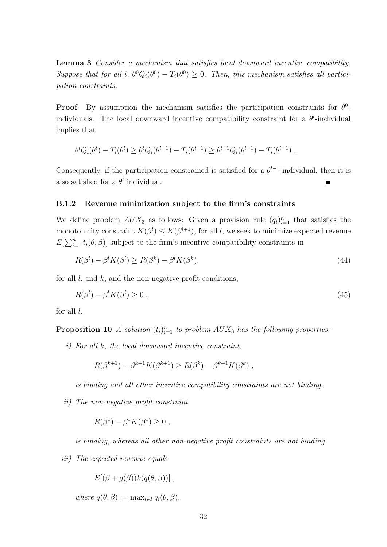Lemma 3 Consider a mechanism that satisfies local downward incentive compatibility. Suppose that for all i,  $\theta^0 Q_i(\theta^0) - T_i(\theta^0) \geq 0$ . Then, this mechanism satisfies all participation constraints.

**Proof** By assumption the mechanism satisfies the participation constraints for  $\theta^0$ individuals. The local downward incentive compatibility constraint for a  $\theta^l$ -individual implies that

$$
\theta^l Q_i(\theta^l) - T_i(\theta^l) \ge \theta^l Q_i(\theta^{l-1}) - T_i(\theta^{l-1}) \ge \theta^{l-1} Q_i(\theta^{l-1}) - T_i(\theta^{l-1}) \; .
$$

Consequently, if the participation constrained is satisfied for a  $\theta^{l-1}$ -individual, then it is also satisfied for a  $\theta^l$  individual.

#### B.1.2 Revenue minimization subject to the firm's constraints

We define problem  $AUX_3$  as follows: Given a provision rule  $(q_i)_{i=1}^n$  that satisfies the monotonicity constraint  $K(\beta^l) \leq K(\beta^{l+1})$ , for all l, we seek to minimize expected revenue  $E[\sum_{i=1}^{n} t_i(\theta, \beta)]$  subject to the firm's incentive compatibility constraints in

$$
R(\beta^l) - \beta^l K(\beta^l) \ge R(\beta^k) - \beta^l K(\beta^k),\tag{44}
$$

for all  $l$ , and  $k$ , and the non-negative profit conditions,

$$
R(\beta^l) - \beta^l K(\beta^l) \ge 0 \tag{45}
$$

for all  $l$ .

**Proposition 10** A solution  $(t_i)_{i=1}^n$  to problem  $AUX_3$  has the following properties:

i) For all k, the local downward incentive constraint,

$$
R(\beta^{k+1}) - \beta^{k+1} K(\beta^{k+1}) \ge R(\beta^k) - \beta^{k+1} K(\beta^k) ,
$$

is binding and all other incentive compatibility constraints are not binding.

ii) The non-negative profit constraint

$$
R(\beta^1) - \beta^1 K(\beta^1) \ge 0 ,
$$

is binding, whereas all other non-negative profit constraints are not binding.

iii) The expected revenue equals

$$
E[(\beta + g(\beta))k(q(\theta, \beta))],
$$

where  $q(\theta, \beta) := \max_{i \in I} q_i(\theta, \beta)$ .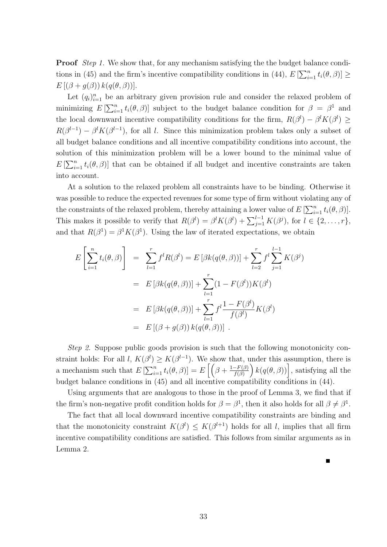**Proof** Step 1. We show that, for any mechanism satisfying the the budget balance conditions in (45) and the firm's incentive compatibility conditions in (44),  $E\left[\sum_{i=1}^{n} t_i(\theta, \beta)\right] \ge$  $E[(\beta + g(\beta)) k(g(\theta, \beta))].$ 

Let  $(q_i)_{i=1}^n$  be an arbitrary given provision rule and consider the relaxed problem of minimizing  $E\left[\sum_{i=1}^{n} t_i(\theta, \beta)\right]$  subject to the budget balance condition for  $\beta = \beta^1$  and the local downward incentive compatibility conditions for the firm,  $R(\beta^l) - \beta^l K(\beta^l) \geq$  $R(\beta^{l-1}) - \beta^l K(\beta^{l-1})$ , for all l. Since this minimization problem takes only a subset of all budget balance conditions and all incentive compatibility conditions into account, the solution of this minimization problem will be a lower bound to the minimal value of  $E\left[\sum_{i=1}^{n} t_i(\theta, \beta)\right]$  that can be obtained if all budget and incentive constraints are taken into account.

At a solution to the relaxed problem all constraints have to be binding. Otherwise it was possible to reduce the expected revenues for some type of firm without violating any of the constraints of the relaxed problem, thereby attaining a lower value of  $E\left[\sum_{i=1}^{n} t_i(\theta, \beta)\right]$ . This makes it possible to verify that  $R(\beta^l) = \beta^l K(\beta^l) + \sum_{j=1}^{l-1} K(\beta^j)$ , for  $l \in \{2, ..., r\}$ , and that  $R(\beta^1) = \beta^1 K(\beta^1)$ . Using the law of iterated expectations, we obtain

$$
E\left[\sum_{i=1}^{n} t_i(\theta, \beta)\right] = \sum_{l=1}^{r} f^l R(\beta^l) = E\left[\beta k(q(\theta, \beta))\right] + \sum_{l=2}^{r} f^l \sum_{j=1}^{l-1} K(\beta^j)
$$
  

$$
= E\left[\beta k(q(\theta, \beta))\right] + \sum_{l=1}^{r} (1 - F(\beta^l))K(\beta^l)
$$
  

$$
= E\left[\beta k(q(\theta, \beta))\right] + \sum_{l=1}^{r} f^l \frac{1 - F(\beta^l)}{f(\beta^l)}K(\beta^l)
$$
  

$$
= E\left[(\beta + g(\beta)) k(q(\theta, \beta))\right].
$$

Step 2. Suppose public goods provision is such that the following monotonicity constraint holds: For all l,  $K(\beta^l) \geq K(\beta^{l-1})$ . We show that, under this assumption, there is a mechanism such that  $E\left[\sum_{i=1}^n t_i(\theta, \beta)\right] = E\left[\left(\beta + \frac{1-F(\beta)}{f(\beta)}\right)\right]$  $\left(\frac{-F(\beta)}{f(\beta)}\right) k(q(\theta, \beta))\Big]$ , satisfying all the budget balance conditions in (45) and all incentive compatibility conditions in (44).

Using arguments that are analogous to those in the proof of Lemma 3, we find that if the firm's non-negative profit condition holds for  $\beta = \beta^1$ , then it also holds for all  $\beta \neq \beta^1$ .

The fact that all local downward incentive compatibility constraints are binding and that the monotonicity constraint  $K(\beta^l) \leq K(\beta^{l+1})$  holds for all l, implies that all firm incentive compatibility conditions are satisfied. This follows from similar arguments as in Lemma 2.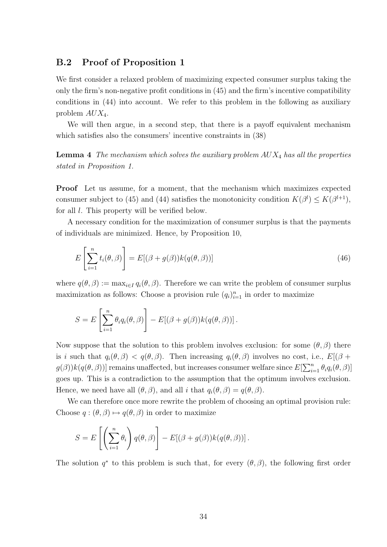### B.2 Proof of Proposition 1

We first consider a relaxed problem of maximizing expected consumer surplus taking the only the firm's non-negative profit conditions in (45) and the firm's incentive compatibility conditions in (44) into account. We refer to this problem in the following as auxiliary problem  $AUX_4$ .

We will then argue, in a second step, that there is a payoff equivalent mechanism which satisfies also the consumers' incentive constraints in (38)

**Lemma 4** The mechanism which solves the auxiliary problem  $AUX_4$  has all the properties stated in Proposition 1.

Proof Let us assume, for a moment, that the mechanism which maximizes expected consumer subject to (45) and (44) satisfies the monotonicity condition  $K(\beta^l) \leq K(\beta^{l+1}),$ for all l. This property will be verified below.

A necessary condition for the maximization of consumer surplus is that the payments of individuals are minimized. Hence, by Proposition 10,

$$
E\left[\sum_{i=1}^{n} t_i(\theta, \beta)\right] = E[(\beta + g(\beta))k(q(\theta, \beta))]
$$
\n(46)

where  $q(\theta, \beta) := \max_{i \in I} q_i(\theta, \beta)$ . Therefore we can write the problem of consumer surplus maximization as follows: Choose a provision rule  $(q_i)_{i=1}^n$  in order to maximize

$$
S = E\left[\sum_{i=1}^n \theta_i q_i(\theta, \beta)\right] - E[(\beta + g(\beta))k(q(\theta, \beta))].
$$

Now suppose that the solution to this problem involves exclusion: for some  $(\theta, \beta)$  there is i such that  $q_i(\theta, \beta) < q(\theta, \beta)$ . Then increasing  $q_i(\theta, \beta)$  involves no cost, i.e.,  $E[(\beta +$  $g(\beta)$ )k $(q(\theta, \beta))$ ] remains unaffected, but increases consumer welfare since  $E[\sum_{i=1}^n \theta_i q_i(\theta, \beta)]$ goes up. This is a contradiction to the assumption that the optimum involves exclusion. Hence, we need have all  $(\theta, \beta)$ , and all i that  $q_i(\theta, \beta) = q(\theta, \beta)$ .

We can therefore once more rewrite the problem of choosing an optimal provision rule: Choose  $q: (\theta, \beta) \mapsto q(\theta, \beta)$  in order to maximize

$$
S = E\left[\left(\sum_{i=1}^n \theta_i\right) q(\theta, \beta)\right] - E[(\beta + g(\beta))k(q(\theta, \beta))].
$$

The solution  $q^*$  to this problem is such that, for every  $(\theta, \beta)$ , the following first order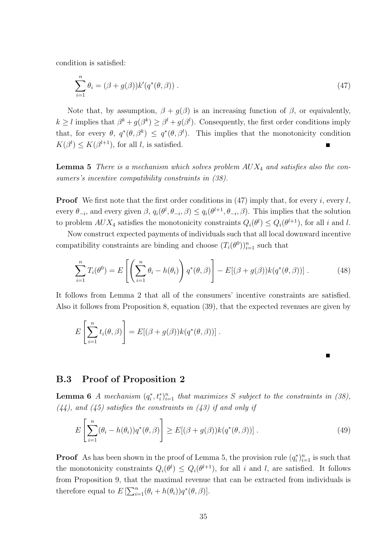condition is satisfied:

$$
\sum_{i=1}^{n} \theta_i = (\beta + g(\beta))k'(q^*(\theta, \beta)).
$$
\n(47)

Note that, by assumption,  $\beta + g(\beta)$  is an increasing function of  $\beta$ , or equivalently,  $k \geq l$  implies that  $\beta^k + g(\beta^k) \geq \beta^l + g(\beta^l)$ . Consequently, the first order conditions imply that, for every  $\theta$ ,  $q^*(\theta, \beta^k) \leq q^*(\theta, \beta^l)$ . This implies that the monotonicity condition  $K(\beta^l) \leq K(\beta^{l+1})$ , for all l, is satisfied.  $\blacksquare$ 

**Lemma 5** There is a mechanism which solves problem  $AUX_4$  and satisfies also the consumers's incentive compatibility constraints in (38).

**Proof** We first note that the first order conditions in  $(47)$  imply that, for every i, every l, every  $\theta_{-i}$ , and every given  $\beta$ ,  $q_i(\theta^l, \theta_{-i}, \beta) \leq q_i(\theta^{l+1}, \theta_{-i}, \beta)$ . This implies that the solution to problem  $AUX_4$  satisfies the monotonicity constraints  $Q_i(\theta^l) \leq Q_i(\theta^{l+1})$ , for all i and l.

Now construct expected payments of individuals such that all local downward incentive compatibility constraints are binding and choose  $(T_i(\theta^0))_{i=1}^n$  such that

$$
\sum_{i=1}^{n} T_i(\theta^0) = E\left[ \left( \sum_{i=1}^{n} \theta_i - h(\theta_i) \right) q^*(\theta, \beta) \right] - E[(\beta + g(\beta))k(q^*(\theta, \beta))]. \tag{48}
$$

It follows from Lemma 2 that all of the consumers' incentive constraints are satisfied. Also it follows from Proposition 8, equation (39), that the expected revenues are given by

$$
E\left[\sum_{i=1}^n t_i(\theta,\beta)\right] = E[(\beta + g(\beta))k(q^*(\theta,\beta))].
$$

### B.3 Proof of Proposition 2

**Lemma 6** A mechanism  $(q_i^*, t_i^*)_{i=1}^n$  that maximizes S subject to the constraints in (38),  $(44)$ , and  $(45)$  satisfies the constraints in  $(43)$  if and only if

$$
E\left[\sum_{i=1}^{n}(\theta_i - h(\theta_i))q^*(\theta,\beta)\right] \ge E[(\beta + g(\beta))k(q^*(\theta,\beta))].
$$
\n(49)

**Proof** As has been shown in the proof of Lemma 5, the provision rule  $(q_i^*)_{i=1}^n$  is such that the monotonicity constraints  $Q_i(\theta^l) \leq Q_i(\theta^{l+1})$ , for all i and l, are satisfied. It follows from Proposition 9, that the maximal revenue that can be extracted from individuals is therefore equal to  $E\left[\sum_{i=1}^n (\theta_i + h(\theta_i))q^*(\theta, \beta)\right]$ .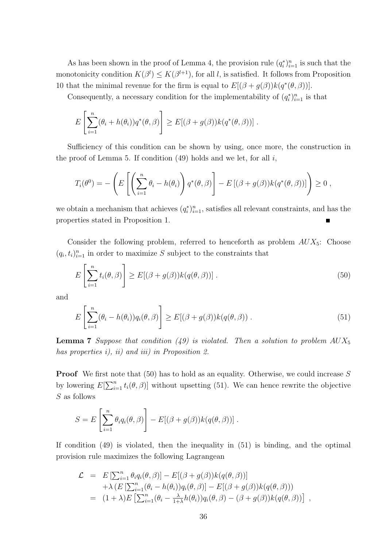As has been shown in the proof of Lemma 4, the provision rule  $(q_i^*)_{i=1}^n$  is such that the monotonicity condition  $K(\beta^l) \leq K(\beta^{l+1})$ , for all l, is satisfied. It follows from Proposition 10 that the minimal revenue for the firm is equal to  $E[(\beta + g(\beta))k(q^*(\theta, \beta))]$ .

Consequently, a necessary condition for the implementability of  $(q_i^*)_{i=1}^n$  is that

$$
E\left[\sum_{i=1}^n(\theta_i+h(\theta_i))q^*(\theta,\beta)\right]\geq E[(\beta+g(\beta))k(q^*(\theta,\beta))].
$$

Sufficiency of this condition can be shown by using, once more, the construction in the proof of Lemma 5. If condition  $(49)$  holds and we let, for all i,

$$
T_i(\theta^0) = -\left( E\left[ \left( \sum_{i=1}^n \theta_i - h(\theta_i) \right) q^*(\theta, \beta) \right] - E\left[ (\beta + g(\beta)) k(q^*(\theta, \beta)) \right] \right) \geq 0,
$$

we obtain a mechanism that achieves  $(q_i^*)_{i=1}^n$ , satisfies all relevant constraints, and has the properties stated in Proposition 1.

Consider the following problem, referred to henceforth as problem  $AUX_5$ : Choose  $(q_i, t_i)_{i=1}^n$  in order to maximize S subject to the constraints that

$$
E\left[\sum_{i=1}^{n} t_i(\theta, \beta)\right] \ge E[(\beta + g(\beta))k(q(\theta, \beta))]. \tag{50}
$$

and

$$
E\left[\sum_{i=1}^{n}(\theta_i - h(\theta_i))q_i(\theta, \beta)\right] \ge E[(\beta + g(\beta))k(q(\theta, \beta))\;.\tag{51}
$$

**Lemma 7** Suppose that condition (49) is violated. Then a solution to problem  $AUX_5$ has properties i), ii) and iii) in Proposition 2.

**Proof** We first note that (50) has to hold as an equality. Otherwise, we could increase S by lowering  $E[\sum_{i=1}^n t_i(\theta, \beta)]$  without upsetting (51). We can hence rewrite the objective S as follows

$$
S = E\left[\sum_{i=1}^n \theta_i q_i(\theta, \beta)\right] - E[(\beta + g(\beta))k(q(\theta, \beta))].
$$

If condition (49) is violated, then the inequality in (51) is binding, and the optimal provision rule maximizes the following Lagrangean

$$
\mathcal{L} = E\left[\sum_{i=1}^{n} \theta_i q_i(\theta, \beta)\right] - E\left[(\beta + g(\beta))k(q(\theta, \beta))\right] \n+ \lambda \left(E\left[\sum_{i=1}^{n} (\theta_i - h(\theta_i))q_i(\theta, \beta)\right] - E\left[(\beta + g(\beta))k(q(\theta, \beta))\right) \n= (1 + \lambda)E\left[\sum_{i=1}^{n} (\theta_i - \frac{\lambda}{1 + \lambda}h(\theta_i))q_i(\theta, \beta) - (\beta + g(\beta))k(q(\theta, \beta))\right],
$$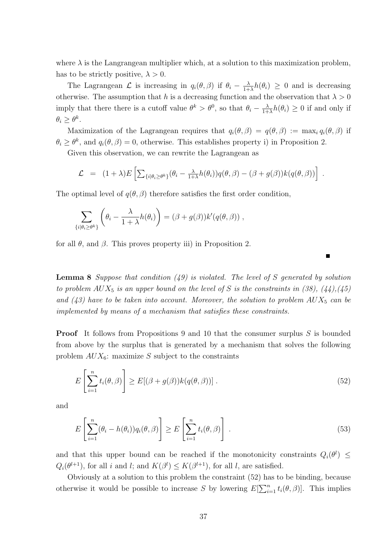where  $\lambda$  is the Langrangean multiplier which, at a solution to this maximization problem, has to be strictly positive,  $\lambda > 0$ .

The Lagrangean  $\mathcal L$  is increasing in  $q_i(\theta, \beta)$  if  $\theta_i - \frac{\lambda_i}{1+\lambda_i}$  $\frac{\lambda}{1+\lambda}h(\theta_i) \geq 0$  and is decreasing otherwise. The assumption that h is a decreasing function and the observation that  $\lambda > 0$ imply that there there is a cutoff value  $\theta^k > \theta^0$ , so that  $\theta_i - \frac{\lambda}{1+\lambda}$  $\frac{\lambda}{1+\lambda}h(\theta_i) \geq 0$  if and only if  $\theta_i \geq \theta^k$ .

Maximization of the Lagrangean requires that  $q_i(\theta, \beta) = q(\theta, \beta) := \max_i q_i(\theta, \beta)$  if  $\theta_i \ge \theta^k$ , and  $q_i(\theta, \beta) = 0$ , otherwise. This establishes property i) in Proposition 2.

Given this observation, we can rewrite the Lagrangean as

$$
\mathcal{L} = (1 + \lambda) E \left[ \sum_{\{i | \theta_i \ge \theta^k\}} (\theta_i - \frac{\lambda}{1 + \lambda} h(\theta_i)) q(\theta, \beta) - (\beta + g(\beta)) k(q(\theta, \beta)) \right].
$$

The optimal level of  $q(\theta, \beta)$  therefore satisfies the first order condition,

$$
\sum_{\{i|\theta_i \geq \theta^k\}} \left( \theta_i - \frac{\lambda}{1+\lambda} h(\theta_i) \right) = (\beta + g(\beta))k'(q(\theta, \beta)),
$$

for all  $\theta$ , and  $\beta$ . This proves property iii) in Proposition 2.

Lemma 8 Suppose that condition (49) is violated. The level of S generated by solution to problem  $AUX_5$  is an upper bound on the level of S is the constraints in (38), (44), (45) and  $(43)$  have to be taken into account. Moreover, the solution to problem  $AUX_5$  can be implemented by means of a mechanism that satisfies these constraints.

**Proof** It follows from Propositions 9 and 10 that the consumer surplus S is bounded from above by the surplus that is generated by a mechanism that solves the following problem  $AUX_6$ : maximize S subject to the constraints

$$
E\left[\sum_{i=1}^{n} t_i(\theta, \beta)\right] \ge E[(\beta + g(\beta))k(q(\theta, \beta))]. \tag{52}
$$

and

$$
E\left[\sum_{i=1}^{n}(\theta_{i}-h(\theta_{i}))q_{i}(\theta,\beta)\right] \geq E\left[\sum_{i=1}^{n}t_{i}(\theta,\beta)\right].
$$
\n(53)

and that this upper bound can be reached if the monotonicity constraints  $Q_i(\theta^l) \leq$  $Q_i(\theta^{l+1})$ , for all i and l; and  $K(\beta^l) \leq K(\beta^{l+1})$ , for all l, are satisfied.

Obviously at a solution to this problem the constraint (52) has to be binding, because otherwise it would be possible to increase S by lowering  $E[\sum_{i=1}^{n} t_i(\theta, \beta)]$ . This implies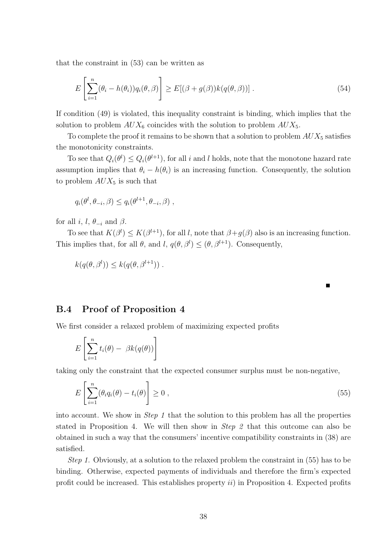that the constraint in (53) can be written as

$$
E\left[\sum_{i=1}^{n}(\theta_i - h(\theta_i))q_i(\theta, \beta)\right] \ge E[(\beta + g(\beta))k(q(\theta, \beta))].
$$
\n(54)

If condition (49) is violated, this inequality constraint is binding, which implies that the solution to problem  $AUX_6$  coincides with the solution to problem  $AUX_5$ .

To complete the proof it remains to be shown that a solution to problem  $AUX_5$  satisfies the monotonicity constraints.

To see that  $Q_i(\theta^l) \leq Q_i(\theta^{l+1})$ , for all i and l holds, note that the monotone hazard rate assumption implies that  $\theta_i - h(\theta_i)$  is an increasing function. Consequently, the solution to problem  $AUX_5$  is such that

$$
q_i(\theta^l, \theta_{-i}, \beta) \le q_i(\theta^{l+1}, \theta_{-i}, \beta) ,
$$

for all i, l,  $\theta_{-i}$  and  $\beta$ .

To see that  $K(\beta^l) \leq K(\beta^{l+1})$ , for all l, note that  $\beta+g(\beta)$  also is an increasing function. This implies that, for all  $\theta$ , and  $l, q(\theta, \beta^l) \leq (\theta, \beta^{l+1})$ . Consequently,

 $k(q(\theta, \beta^{l})) \leq k(q(\theta, \beta^{l+1}))$ .

### B.4 Proof of Proposition 4

We first consider a relaxed problem of maximizing expected profits

$$
E\left[\sum_{i=1}^{n} t_i(\theta) - \beta k(q(\theta))\right]
$$

taking only the constraint that the expected consumer surplus must be non-negative,

$$
E\left[\sum_{i=1}^{n}(\theta_i q_i(\theta) - t_i(\theta)\right] \ge 0,
$$
\n(55)

into account. We show in Step 1 that the solution to this problem has all the properties stated in Proposition 4. We will then show in Step 2 that this outcome can also be obtained in such a way that the consumers' incentive compatibility constraints in (38) are satisfied.

Step 1. Obviously, at a solution to the relaxed problem the constraint in (55) has to be binding. Otherwise, expected payments of individuals and therefore the firm's expected profit could be increased. This establishes property  $ii)$  in Proposition 4. Expected profits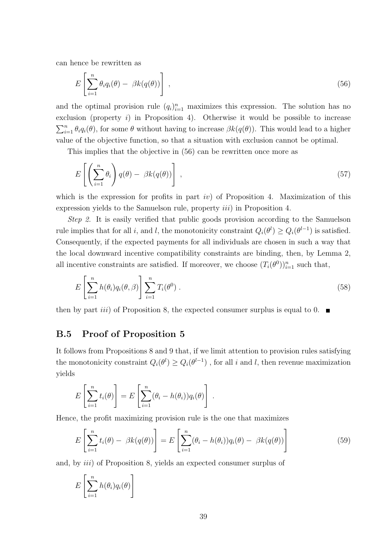can hence be rewritten as

$$
E\left[\sum_{i=1}^{n} \theta_i q_i(\theta) - \beta k(q(\theta))\right],
$$
\n(56)

and the optimal provision rule  $(q_i)_{i=1}^n$  maximizes this expression. The solution has no exclusion (property  $i$ ) in Proposition 4). Otherwise it would be possible to increase  $\sum_{i=1}^{n} \theta_i q_i(\theta)$ , for some  $\theta$  without having to increase  $\beta k(q(\theta))$ . This would lead to a higher value of the objective function, so that a situation with exclusion cannot be optimal.

This implies that the objective in (56) can be rewritten once more as

$$
E\left[\left(\sum_{i=1}^{n} \theta_i\right) q(\theta) - \beta k(q(\theta))\right],
$$
\n(57)

which is the expression for profits in part  $iv$ ) of Proposition 4. Maximization of this expression yields to the Samuelson rule, property *iii*) in Proposition 4.

Step 2. It is easily verified that public goods provision according to the Samuelson rule implies that for all i, and l, the monotonicity constraint  $Q_i(\theta) \geq Q_i(\theta^{l-1})$  is satisfied. Consequently, if the expected payments for all individuals are chosen in such a way that the local downward incentive compatibility constraints are binding, then, by Lemma 2, all incentive constraints are satisfied. If moreover, we choose  $(T_i(\theta^0))_{i=1}^n$  such that,

$$
E\left[\sum_{i=1}^{n} h(\theta_i) q_i(\theta, \beta)\right] \sum_{i=1}^{n} T_i(\theta^0) . \tag{58}
$$

then by part *iii*) of Proposition 8, the expected consumer surplus is equal to 0.

### B.5 Proof of Proposition 5

It follows from Propositions 8 and 9 that, if we limit attention to provision rules satisfying the monotonicity constraint  $Q_i(\theta^l) \geq Q_i(\theta^{l-1})$ , for all i and l, then revenue maximization yields

$$
E\left[\sum_{i=1}^n t_i(\theta)\right] = E\left[\sum_{i=1}^n (\theta_i - h(\theta_i))q_i(\theta)\right].
$$

Hence, the profit maximizing provision rule is the one that maximizes

$$
E\left[\sum_{i=1}^{n} t_i(\theta) - \beta k(q(\theta))\right] = E\left[\sum_{i=1}^{n} (\theta_i - h(\theta_i))q_i(\theta) - \beta k(q(\theta))\right]
$$
\n(59)

and, by *iii*) of Proposition 8, yields an expected consumer surplus of

$$
E\left[\sum_{i=1}^{n} h(\theta_i) q_i(\theta)\right]
$$